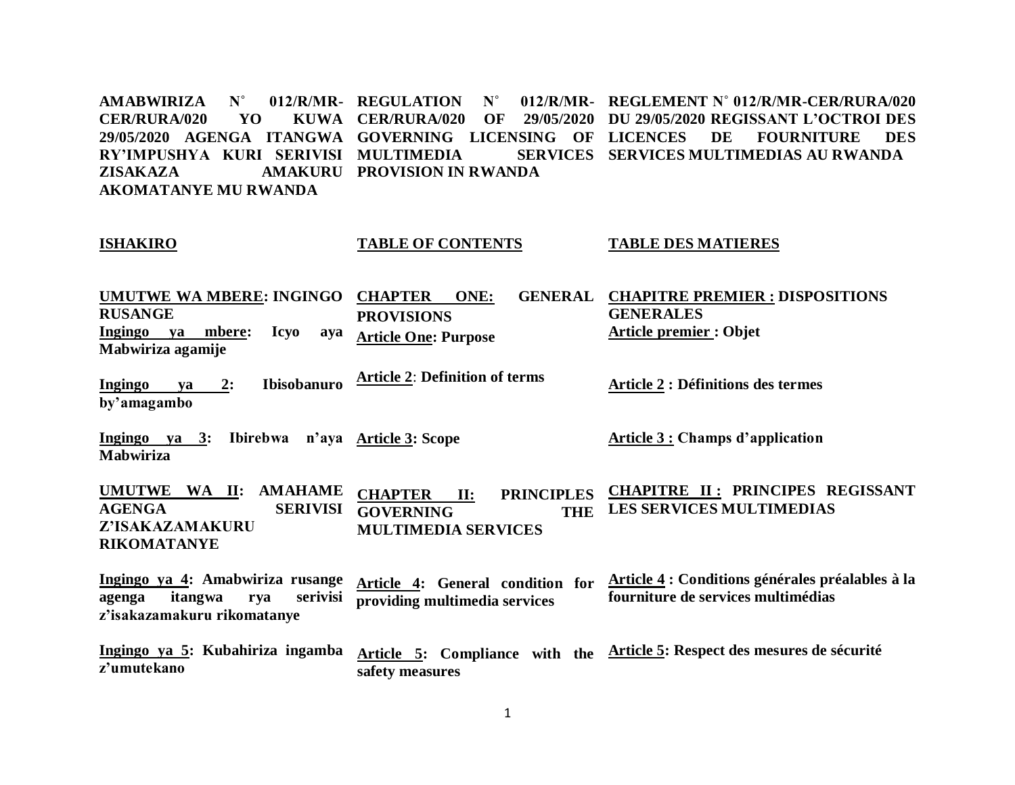**AMABWIRIZA** N° **CER/RURA/020 YO 29/05/2020 AGENGA ITANGWA GOVERNING LICENSING OF RY'IMPUSHYA KURI SERIVISI MULTIMEDIA SERVICES ZISAKAZA AKOMATANYE MU RWANDA** 012/R/MR- REGULATION N° KUWA CER/RURA/020 OF **AMAKURU PROVISION IN RWANDA REGLEMENT N˚ 012/R/MR-CER/RURA/020 DU 29/05/2020 REGISSANT L'OCTROI DES LICE DES** FOURNITURE DES **SERVICES MULTIMEDIAS AU RWANDA**

#### **ISHAKIRO UMUTWE WA MBERE: INGINGO CHAPTER ONE: GENERAL RUSANGE Ingingo ya mbere: Icyo aya Mabwiriza agamije Ingingo ya 2: Ibisobanuro by'amagambo Ingingo ya 3: Ibirebwa n'aya Article 3: Scope TABLE OF CONTENTS PROVISIONS Article One: Purpose Article 2**: **Definition of terms TABLE DES MATIERES CHAPITRE PREMIER : DISPOSITIONS GENERALES Article premier : Objet Article 2 : Définitions des termes Article 3 : Champs d'application**

**Mabwiriza**

**UMUTWE WA II: AMAHAME AGENGA SERIVISI GOVERNING THE Z'ISAKAZAMAKURU RIKOMATANYE CHAPTER II: PRINCIPLES MULTIMEDIA SERVICES CHAPITRE II : PRINCIPES REGISSANT LES SERVICES MULTIMEDIAS**

**Ingingo ya 4: Amabwiriza rusange agenga itangwa rya serivisi z'isakazamakuru rikomatanye Article 4: General condition for providing multimedia services Article 4 : Conditions générales préalables à la fourniture de services multimédias**

**Ingingo ya 5: Kubahiriza ingamba z'umutekano Article 5: Compliance with the Article 5: Respect des mesures de sécuritésafety measures**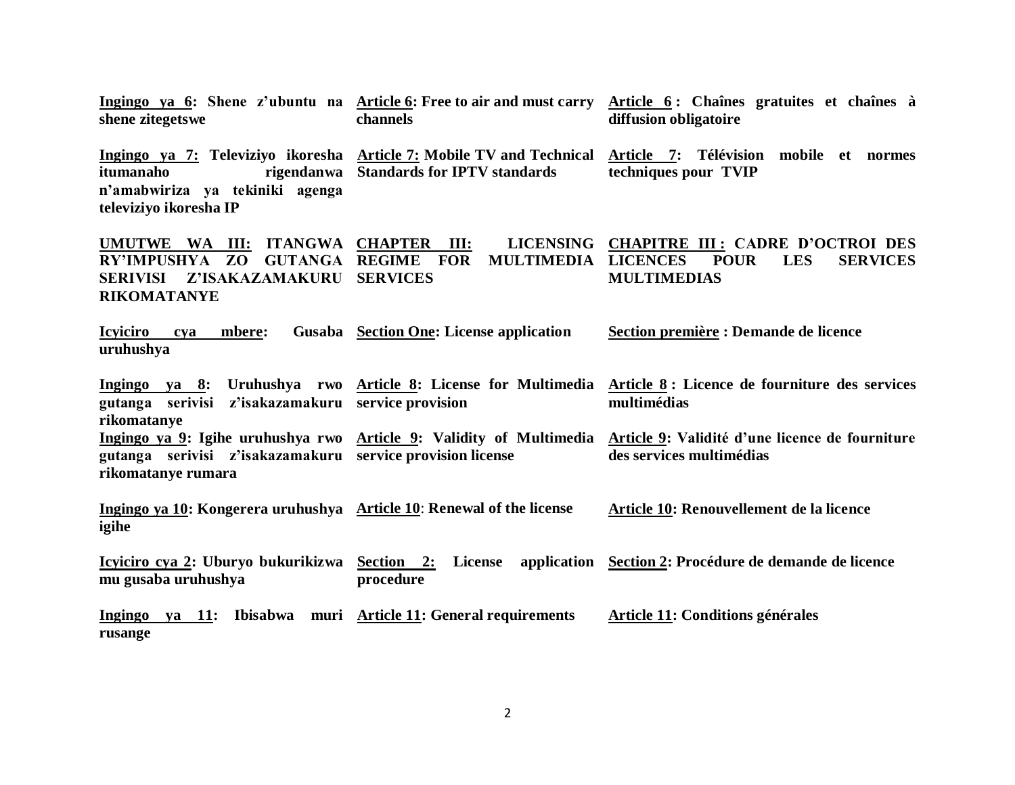| Ingingo ya 6: Shene z'ubuntu na Article 6: Free to air and must carry<br>shene zitegetswe                                                      | channels                                              | Article 6: Chaînes gratuites et chaînes à<br>diffusion obligatoire                                                                              |  |
|------------------------------------------------------------------------------------------------------------------------------------------------|-------------------------------------------------------|-------------------------------------------------------------------------------------------------------------------------------------------------|--|
| Ingingo ya 7: Televiziyo ikoresha Article 7: Mobile TV and Technical<br>itumanaho<br>n'amabwiriza ya tekiniki agenga<br>televiziyo ikoresha IP | rigendanwa Standards for IPTV standards               | Article 7: Télévision mobile et normes<br>techniques pour TVIP                                                                                  |  |
| UMUTWE WA III: ITANGWA CHAPTER III:<br>RY'IMPUSHYA ZO GUTANGA REGIME<br>Z'ISAKAZAMAKURU<br><b>SERIVISI</b><br><b>RIKOMATANYE</b>               | <b>FOR</b><br><b>MULTIMEDIA</b><br><b>SERVICES</b>    | LICENSING CHAPITRE III: CADRE D'OCTROI DES<br><b>LES</b><br><b>SERVICES</b><br><b>LICENCES</b><br><b>POUR</b><br><b>MULTIMEDIAS</b>             |  |
| <b>Icyiciro</b><br>mbere:<br>cya<br>uruhushya                                                                                                  | Gusaba Section One: License application               | Section première : Demande de licence                                                                                                           |  |
| gutanga serivisi z'isakazamakuru service provision<br>rikomatanye                                                                              |                                                       | Ingingo ya 8: Uruhushya rwo Article 8: License for Multimedia Article 8: Licence de fourniture des services<br>multimédias                      |  |
| gutanga serivisi z'isakazamakuru service provision license<br>rikomatanye rumara                                                               |                                                       | Ingingo ya 9: Igihe uruhushya rwo Article 9: Validity of Multimedia Article 9: Validité d'une licence de fourniture<br>des services multimédias |  |
| Ingingo ya 10: Kongerera uruhushya Article 10: Renewal of the license<br>igihe                                                                 |                                                       | Article 10: Renouvellement de la licence                                                                                                        |  |
| Icyiciro cya 2: Uburyo bukurikizwa Section 2:<br>mu gusaba uruhushya                                                                           | procedure                                             | License application Section 2: Procédure de demande de licence                                                                                  |  |
| Ingingo<br>rusange                                                                                                                             | ya 11: Ibisabwa muri Article 11: General requirements | <b>Article 11: Conditions générales</b>                                                                                                         |  |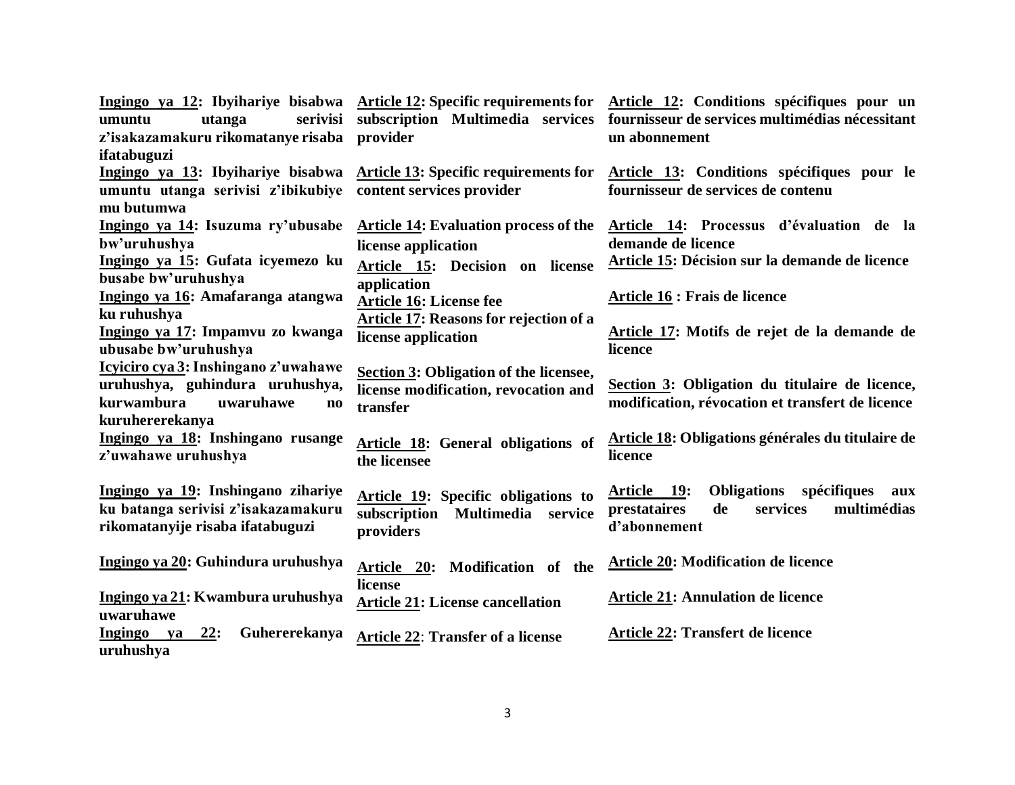|                                                   |                                              | Ingingo ya 12: Ibyihariye bisabwa Article 12: Specific requirements for Article 12: Conditions spécifiques pour un |  |  |
|---------------------------------------------------|----------------------------------------------|--------------------------------------------------------------------------------------------------------------------|--|--|
| utanga<br>serivisi<br>umuntu                      | subscription Multimedia services             | fournisseur de services multimédias nécessitant                                                                    |  |  |
| z'isakazamakuru rikomatanye risaba                | provider                                     | un abonnement                                                                                                      |  |  |
| ifatabuguzi                                       |                                              |                                                                                                                    |  |  |
| Ingingo ya 13: Ibyihariye bisabwa                 | <b>Article 13: Specific requirements for</b> | Article 13: Conditions spécifiques pour le                                                                         |  |  |
| umuntu utanga serivisi z'ibikubiye                | content services provider                    | fournisseur de services de contenu                                                                                 |  |  |
| mu butumwa                                        |                                              |                                                                                                                    |  |  |
| Ingingo ya 14: Isuzuma ry'ubusabe                 | <b>Article 14: Evaluation process of the</b> | Article 14: Processus d'évaluation de la                                                                           |  |  |
| bw'uruhushya                                      | license application                          | demande de licence                                                                                                 |  |  |
| Ingingo ya 15: Gufata icyemezo ku                 | Article 15: Decision on license              | Article 15: Décision sur la demande de licence                                                                     |  |  |
| busabe bw'uruhushya                               | application                                  |                                                                                                                    |  |  |
| Ingingo ya 16: Amafaranga atangwa                 | <b>Article 16: License fee</b>               | <b>Article 16 : Frais de licence</b>                                                                               |  |  |
| ku ruhushya                                       | Article 17: Reasons for rejection of a       |                                                                                                                    |  |  |
| Ingingo ya 17: Impamvu zo kwanga                  | license application                          | Article 17: Motifs de rejet de la demande de                                                                       |  |  |
| ubusabe bw'uruhushya                              |                                              | licence                                                                                                            |  |  |
| Icyiciro cya 3: Inshingano z'uwahawe              | Section 3: Obligation of the licensee,       |                                                                                                                    |  |  |
| uruhushya, guhindura uruhushya,                   | license modification, revocation and         | Section 3: Obligation du titulaire de licence,                                                                     |  |  |
| kurwambura<br>uwaruhawe<br>$\mathbf{n}\mathbf{o}$ | transfer                                     | modification, révocation et transfert de licence                                                                   |  |  |
| kuruhererekanya                                   |                                              |                                                                                                                    |  |  |
| Ingingo ya 18: Inshingano rusange                 | Article 18: General obligations of           | Article 18: Obligations générales du titulaire de                                                                  |  |  |
| z'uwahawe uruhushya                               | the licensee                                 | licence                                                                                                            |  |  |
|                                                   |                                              |                                                                                                                    |  |  |
| Ingingo ya 19: Inshingano zihariye                | Article 19: Specific obligations to          | Obligations spécifiques<br><u>Article 19:</u><br>aux                                                               |  |  |
| ku batanga serivisi z'isakazamakuru               | subscription<br>Multimedia service           | multimédias<br>prestataires<br>de<br>services                                                                      |  |  |
| rikomatanyije risaba ifatabuguzi                  | providers                                    | d'abonnement                                                                                                       |  |  |
|                                                   |                                              |                                                                                                                    |  |  |
| Ingingo ya 20: Guhindura uruhushya                | Article 20: Modification of the              | <b>Article 20: Modification de licence</b>                                                                         |  |  |
|                                                   | license                                      |                                                                                                                    |  |  |
| Ingingo ya 21: Kwambura uruhushya                 | <b>Article 21: License cancellation</b>      | <b>Article 21: Annulation de licence</b>                                                                           |  |  |
| uwaruhawe                                         |                                              |                                                                                                                    |  |  |
| <b>Ingingo</b><br>22:<br>Guhererekanya<br>ya      | <b>Article 22: Transfer of a license</b>     | <b>Article 22: Transfert de licence</b>                                                                            |  |  |
| uruhushya                                         |                                              |                                                                                                                    |  |  |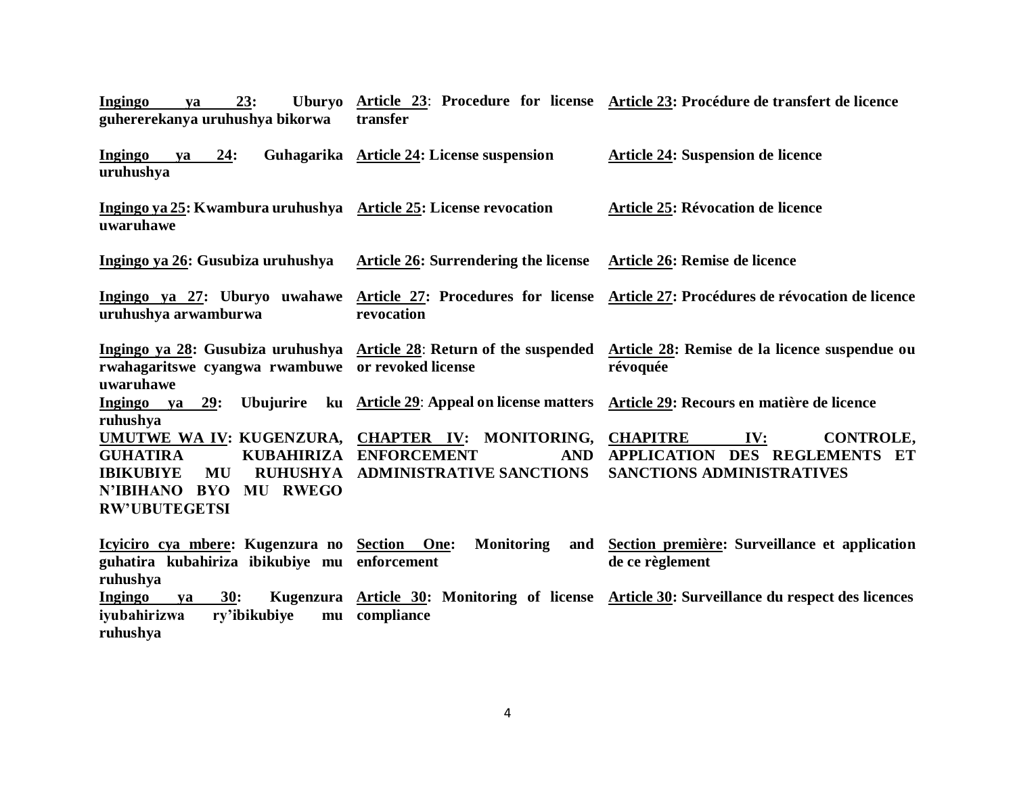| 23:<br>Ingingo<br>ya<br>guhererekanya uruhushya bikorwa                                                                                                                                           | transfer                                                            | Uburyo Article 23: Procedure for license Article 23: Procédure de transfert de licence                                          |  |  |
|---------------------------------------------------------------------------------------------------------------------------------------------------------------------------------------------------|---------------------------------------------------------------------|---------------------------------------------------------------------------------------------------------------------------------|--|--|
| <b>Ingingo</b><br>24:<br>ya<br>uruhushya                                                                                                                                                          | Guhagarika Article 24: License suspension                           | Article 24: Suspension de licence                                                                                               |  |  |
| Ingingo ya 25: Kwambura uruhushya Article 25: License revocation<br>uwaruhawe                                                                                                                     |                                                                     | Article 25: Révocation de licence                                                                                               |  |  |
| Ingingo ya 26: Gusubiza uruhushya                                                                                                                                                                 | Article 26: Surrendering the license                                | Article 26: Remise de licence                                                                                                   |  |  |
| Ingingo ya 27: Uburyo uwahawe<br>uruhushya arwamburwa                                                                                                                                             | revocation                                                          | Article 27: Procedures for license Article 27: Procédures de révocation de licence                                              |  |  |
| rwahagaritswe cyangwa rwambuwe or revoked license<br>uwaruhawe                                                                                                                                    |                                                                     | Ingingo ya 28: Gusubiza uruhushya Article 28: Return of the suspended Article 28: Remise de la licence suspendue ou<br>révoquée |  |  |
| Ingingo ya 29:<br>ruhushya                                                                                                                                                                        |                                                                     | Ubujurire ku Article 29: Appeal on license matters Article 29: Recours en matière de licence                                    |  |  |
| UMUTWE WA IV: KUGENZURA, CHAPTER IV: MONITORING,<br><b>KUBAHIRIZA</b><br><b>GUHATIRA</b><br><b>IBIKUBIYE</b><br><b>RUHUSHYA</b><br>MU<br>N'IBIHANO<br><b>BYO MU RWEGO</b><br><b>RW'UBUTEGETSI</b> | <b>ENFORCEMENT</b><br><b>AND</b><br><b>ADMINISTRATIVE SANCTIONS</b> | CONTROLE,<br><b>CHAPITRE</b><br>IV:<br>APPLICATION DES REGLEMENTS<br>ET<br><b>SANCTIONS ADMINISTRATIVES</b>                     |  |  |
| Icyiciro cya mbere: Kugenzura no Section One:<br>guhatira kubahiriza ibikubiye mu enforcement<br>ruhushya                                                                                         | <b>Monitoring</b><br>and                                            | Section première: Surveillance et application<br>de ce règlement                                                                |  |  |
| <b>Ingingo</b><br>30:<br>ya<br>iyubahirizwa<br>ry'ibikubiye<br>ruhushya                                                                                                                           | mu compliance                                                       | Kugenzura Article 30: Monitoring of license Article 30: Surveillance du respect des licences                                    |  |  |

4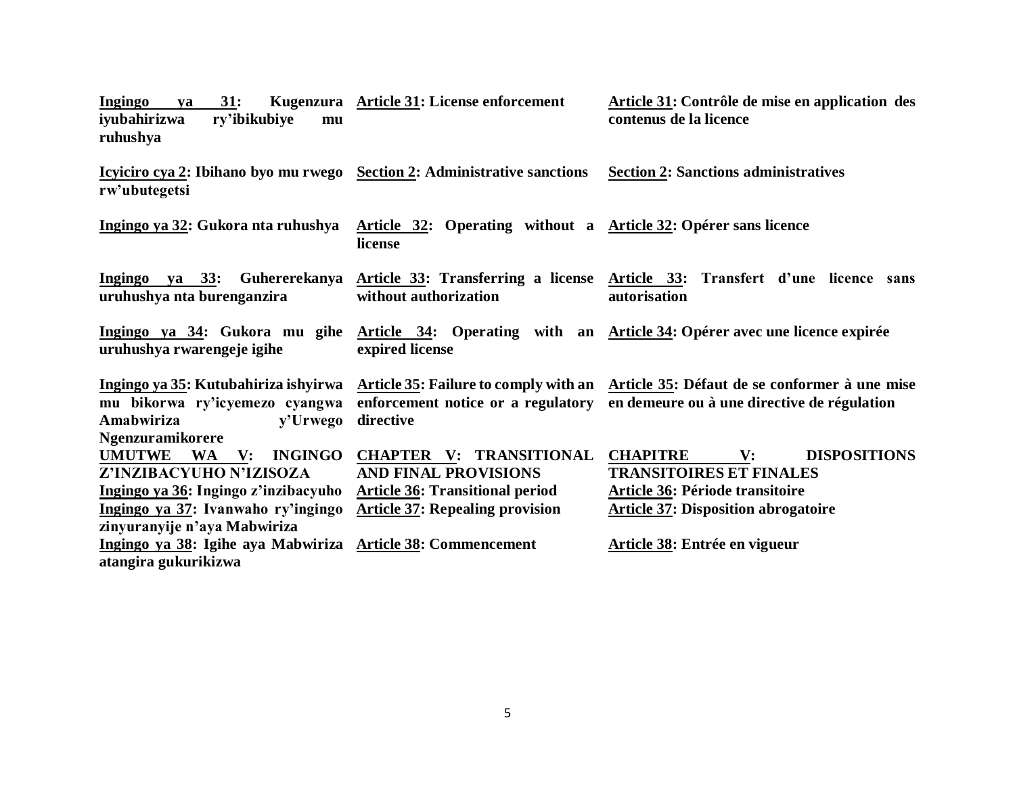| 31:<br>Ingingo<br>ya<br>iyubahirizwa<br>ry'ibikubiye<br>mu<br>ruhushya                                                                                                  | Kugenzura Article 31: License enforcement                                                                                                         | Article 31: Contrôle de mise en application des<br>contenus de la licence                                                                                                   |  |  |  |
|-------------------------------------------------------------------------------------------------------------------------------------------------------------------------|---------------------------------------------------------------------------------------------------------------------------------------------------|-----------------------------------------------------------------------------------------------------------------------------------------------------------------------------|--|--|--|
| <u>Icyliciro cya 2:</u> Ibihano byo mu rwego Section 2: Administrative sanctions<br>rw'ubutegetsi                                                                       |                                                                                                                                                   | <b>Section 2: Sanctions administratives</b>                                                                                                                                 |  |  |  |
| Ingingo ya 32: Gukora nta ruhushya                                                                                                                                      | Article 32: Operating without a Article 32: Opérer sans licence<br>license                                                                        |                                                                                                                                                                             |  |  |  |
| Ingingo ya 33: Guhererekanya<br>uruhushya nta burenganzira                                                                                                              | without authorization                                                                                                                             | Article 33: Transferring a license Article 33: Transfert d'une licence sans<br><b>autorisation</b>                                                                          |  |  |  |
| Ingingo ya 34: Gukora mu gihe<br>uruhushya rwarengeje igihe                                                                                                             | expired license                                                                                                                                   | Article 34: Operating with an Article 34: Opérer avec une licence expirée                                                                                                   |  |  |  |
| Ingingo ya 35: Kutubahiriza ishyirwa<br>mu bikorwa ry'icyemezo cyangwa<br>Amabwiriza<br>y'Urwego<br>Ngenzuramikorere                                                    | directive                                                                                                                                         | Article 35: Failure to comply with an Article 35: Défaut de se conformer à une mise<br>enforcement notice or a regulatory en demeure ou à une directive de régulation       |  |  |  |
| UMUTWE WA V:<br><b>INGINGO</b><br>Z'INZIBACYUHO N'IZISOZA<br>Ingingo ya 36: Ingingo z'inzibacyuho<br>Ingingo ya 37: Ivanwaho ry'ingingo<br>zinyuranyije n'aya Mabwiriza | <b>CHAPTER V: TRANSITIONAL</b><br><b>AND FINAL PROVISIONS</b><br><b>Article 36: Transitional period</b><br><b>Article 37: Repealing provision</b> | <b>DISPOSITIONS</b><br><b>CHAPITRE</b><br>$\mathbf{V}$ :<br><b>TRANSITOIRES ET FINALES</b><br>Article 36: Période transitoire<br><b>Article 37: Disposition abrogatoire</b> |  |  |  |
| Ingingo ya 38: Igihe aya Mabwiriza<br>atangira gukurikizwa                                                                                                              | <b>Article 38: Commencement</b>                                                                                                                   | Article 38: Entrée en vigueur                                                                                                                                               |  |  |  |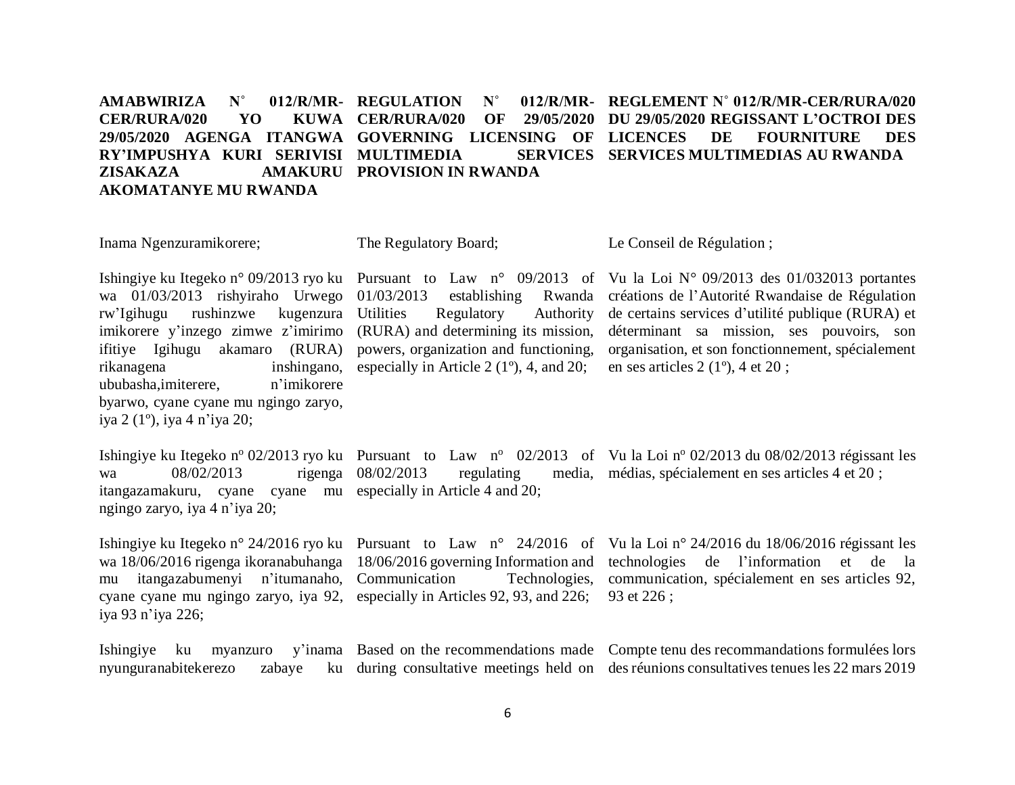#### **AMABWIRIZA** N° **CER/RURA/020 YO 29/05/2020 AGENGA ITANGWA GOVERNING LICENSING OF RY'IMPUSHYA KURI SERIVISI MULTIMEDIA SERVICES ZISAKAZA AMAKURU PROVISION IN RWANDA AKOMATANYE MU RWANDA** 012/R/MR- REGULATION N° KUWA CER/RURA/020 OF **REGLEMENT N˚ 012/R/MR-CER/RURA/020 DU 29/05/2020 REGISSANT L'OCTROI DES LICE DES** FOURNITURE DES **SERVICES MULTIMEDIAS AU RWANDA**

| Inama Ngenzuramikorere;                                                                                                                                                                                           | The Regulatory Board;                                                                                                                                                                                                                                     | Le Conseil de Régulation;                                                                                                                                                                                                                                                                                                                                                          |
|-------------------------------------------------------------------------------------------------------------------------------------------------------------------------------------------------------------------|-----------------------------------------------------------------------------------------------------------------------------------------------------------------------------------------------------------------------------------------------------------|------------------------------------------------------------------------------------------------------------------------------------------------------------------------------------------------------------------------------------------------------------------------------------------------------------------------------------------------------------------------------------|
| wa 01/03/2013 rishyiraho Urwego 01/03/2013<br>rw'Igihugu rushinzwe kugenzura Utilities<br>rikanagena<br>ububasha,imiterere,<br>n'imikorere<br>byarwo, cyane cyane mu ngingo zaryo,<br>iya 2 (1°), iya 4 n'iya 20; | establishing<br>Regulatory Authority<br>imikorere y'inzego zimwe z'imirimo (RURA) and determining its mission,<br>ifitiye Igihugu akamaro (RURA) powers, organization and functioning,<br>inshing ano, especially in Article 2 $(1^{\circ})$ , 4, and 20; | Ishingiye ku Itegeko n° 09/2013 ryo ku Pursuant to Law n° 09/2013 of Vu la Loi N° 09/2013 des 01/032013 portantes<br>Rwanda créations de l'Autorité Rwandaise de Régulation<br>de certains services d'utilité publique (RURA) et<br>déterminant sa mission, ses pouvoirs, son<br>organisation, et son fonctionnement, spécialement<br>en ses articles $2(1^{\circ})$ , 4 et $20$ ; |
| 08/02/2013<br>wa<br>itangazamakuru, cyane cyane mu especially in Article 4 and 20;<br>ngingo zaryo, iya 4 n'iya 20;                                                                                               | rigenga 08/02/2013                                                                                                                                                                                                                                        | Ishingiye ku Itegeko nº 02/2013 ryo ku Pursuant to Law nº 02/2013 of Vu la Loi nº 02/2013 du 08/02/2013 régissant les<br>regulating media, médias, spécialement en ses articles 4 et 20;                                                                                                                                                                                           |
| mu itangazabumenyi n'itumanaho, Communication<br>iya 93 n'iya 226;                                                                                                                                                | cyane cyane mu ngingo zaryo, iya 92, especially in Articles 92, 93, and 226; 93 et 226;                                                                                                                                                                   | Ishingiye ku Itegeko n° 24/2016 ryo ku Pursuant to Law n° 24/2016 of Vu la Loi n° 24/2016 du 18/06/2016 régissant les<br>wa 18/06/2016 rigenga ikoranabuhanga 18/06/2016 governing Information and technologies de l'information et de la<br>Technologies, communication, spécialement en ses articles 92,                                                                         |

Ishingiye ku myanzuro y'inama Based on the recommendations made Compte tenu des recommandations formulées lors nyunguranabitekerezo during consultative meetings held on des réunions consultatives tenues les 22 mars 2019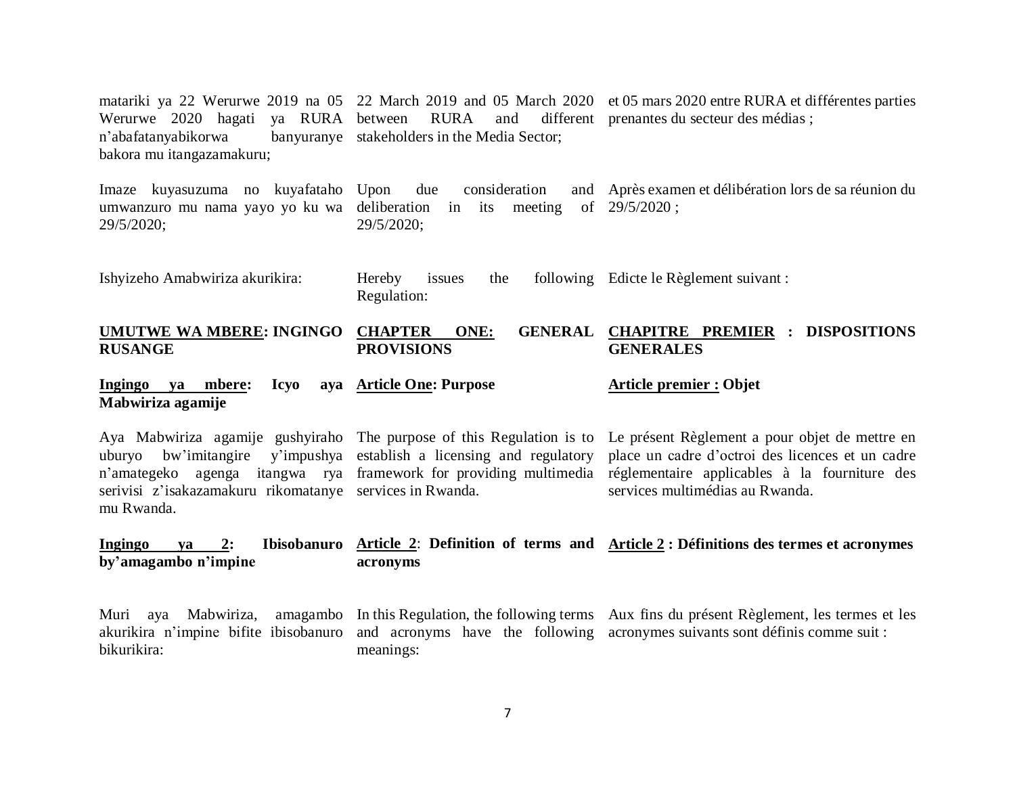matariki ya 22 Werurwe 2019 na 05 22 March 2019 and 05 March 2020 et 05 mars 2020 entre RURA et différentes parties Werurwe 2020 hagati ya RURA between RURA and different prenantes du secteur des médias ; n'abafatanyabikorwa bakora mu itangazamakuru; banyuranye stakeholders in the Media Sector;

Imaze kuyasuzuma no kuyafataho umwanzuro mu nama yayo yo ku wa deliberation in its meeting of 29/5/2020 ; 29/5/2020; due consideration 29/5/2020; Après examen et délibération lors de sa réunion du

Ishyizeho Amabwiriza akurikira: Hereby issues the following Edicte le Règlement suivant : Regulation:

#### **UMUTWE WA MBERE: INGINGO CHAPTER ONE: GENERAL RUSANGE PROVISIONS CHAPITRE PREMIER : DISPOSITIONS GENERALES**

#### **Ingingo va mbere: Mabwiriza agamije Article One: Purpose Article premier : Objet**

Aya Mabwiriza agamije gushyiraho The purpose of this Regulation is to Le présent Règlement a pour objet de mettre en uburyo bw'imitangire y'impushya establish a licensing and regulatory n'amategeko agenga itangwa rya framework for providing multimedia réglementaire applicables à la fourniture des serivisi z'isakazamakuru rikomatanye services in Rwanda. mu Rwanda. place un cadre d'octroi des licences et un cadre services multimédias au Rwanda.

#### **Ingingo ya 2: Ibisobanuro Article 2**: **Definition of terms and Article 2 : Définitions des termes et acronymes by'amagambo n'impine acronyms**

Muri aya Mabwiriza, akurikira n'impine bifite ibisobanuro and acronyms have the following acronymes suivants sont définis comme suit :bikurikira: In this Regulation, the following terms Aux fins du présent Règlement, les termes et les meanings: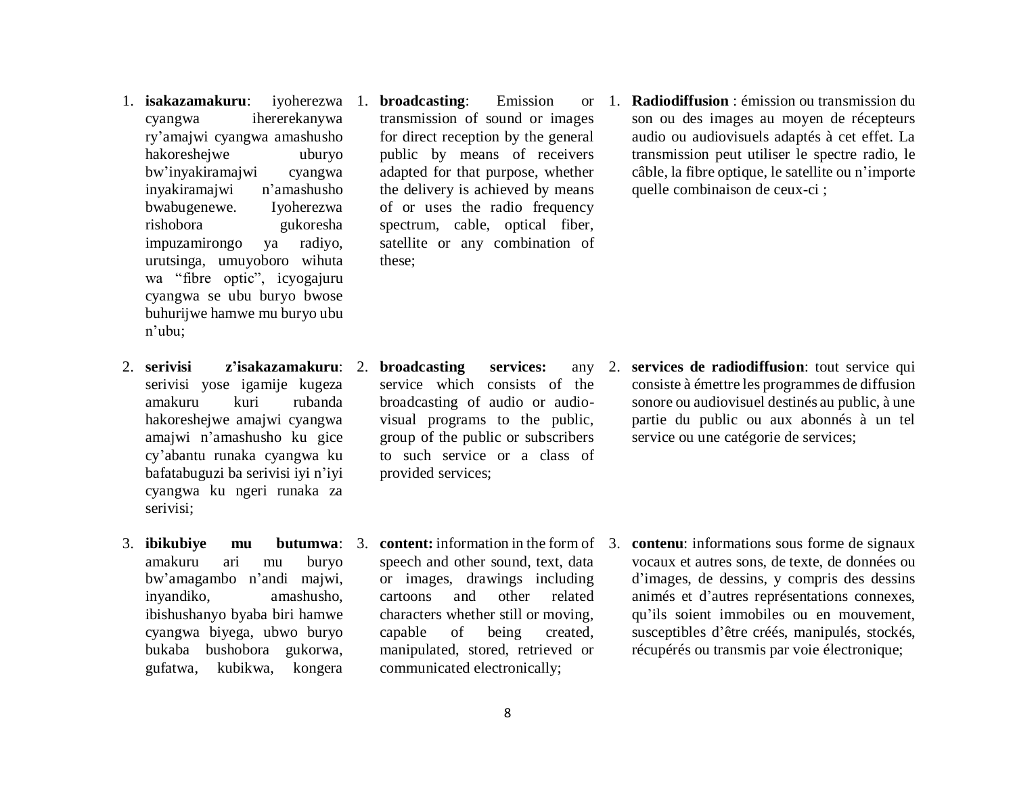- 1. **isakazamakuru**: iyoherezwa 1. **broadcasting**: Emission or cyangwa ihererekanywa ry'amajwi cyangwa amashusho hakoreshejwe uburyo bw'inyakiramajwi cyangwa inyakiramajwi n'amashusho bwabugenewe. Iyoherezwa rishobora gukoresha impuzamirongo ya radiyo, urutsinga, umuyoboro wihuta wa "fibre optic", icyogajuru cyangwa se ubu buryo bwose buhurijwe hamwe mu buryo ubu n'ubu;
- serivisi yose igamije kugeza amakuru kuri rubanda hakoreshejwe amajwi cyangwa amajwi n'amashusho ku gice cy'abantu runaka cyangwa ku bafatabuguzi ba serivisi iyi n'iyi cyangwa ku ngeri runaka za serivisi;
- 3. **ibikubiye mu** amakuru ari mu buryo bw'amagambo n'andi majwi, inyandiko, amashusho, ibishushanyo byaba biri hamwe cyangwa biyega, ubwo buryo bukaba bushobora gukorwa, gufatwa, kubikwa, kongera

transmission of sound or images for direct reception by the general public by means of receivers adapted for that purpose, whether the delivery is achieved by means of or uses the radio frequency spectrum, cable, optical fiber, satellite or any combination of these;

1. **Radiodiffusion** : émission ou transmission du son ou des images au moyen de récepteurs audio ou audiovisuels adaptés à cet effet. La transmission peut utiliser le spectre radio, le câble, la fibre optique, le satellite ou n'importe quelle combinaison de ceux-ci ;

- 2. **serivisi z'isakazamakuru**: 2. **broadcasting services:** any service which consists of the broadcasting of audio or audiovisual programs to the public, group of the public or subscribers to such service or a class of provided services;
	- **butumwa:** 3. **content:** information in the form of 3. speech and other sound, text, data or images, drawings including cartoons and other related characters whether still or moving, capable of being created, manipulated, stored, retrieved or communicated electronically;

2. **services de radiodiffusion**: tout service qui consiste à émettre les programmes de diffusion sonore ou audiovisuel destinés au public, à une partie du public ou aux abonnés à un tel service ou une catégorie de services;

> **contenu**: informations sous forme de signaux vocaux et autres sons, de texte, de données ou d'images, de dessins, y compris des dessins animés et d'autres représentations connexes, qu'ils soient immobiles ou en mouvement, susceptibles d'être créés, manipulés, stockés, récupérés ou transmis par voie électronique;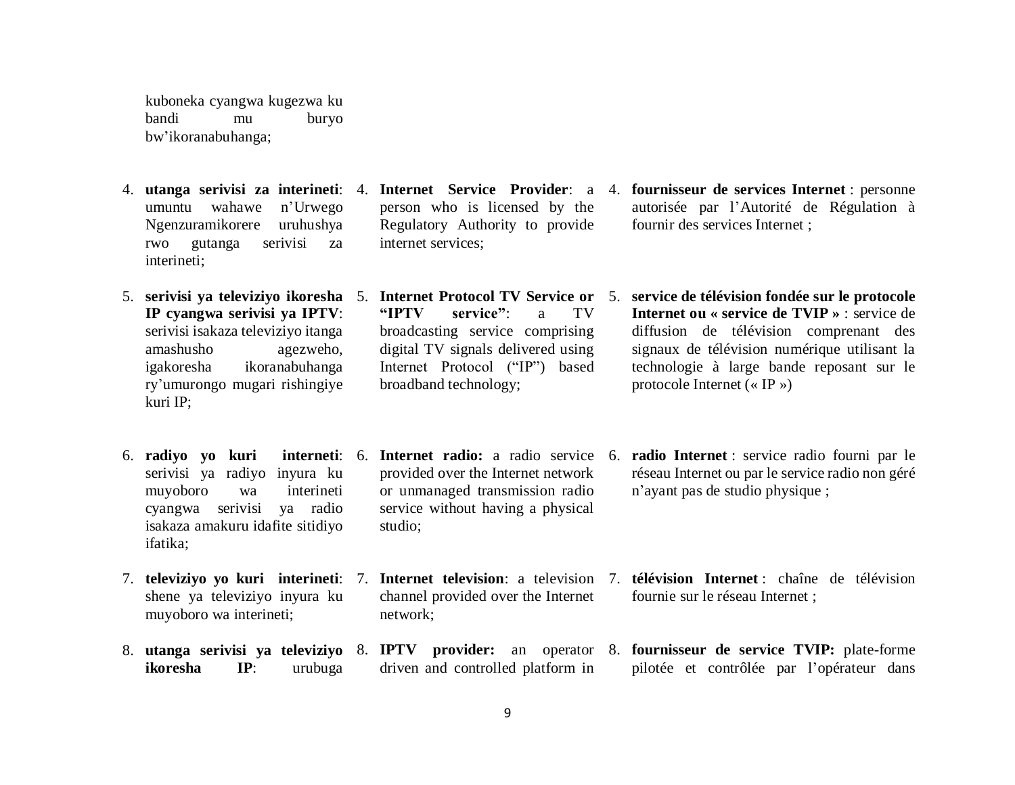kuboneka cyangwa kugezwa ku bandi mu buryo bw'ikoranabuhanga;

- umuntu wahawe n'Urwego Ngenzuramikorere uruhushya rwo gutanga serivisi za interineti;
- **IP cyangwa serivisi ya IPTV**: serivisi isakaza televiziyo itanga amashusho agezweho, igakoresha ikoranabuhanga ry'umurongo mugari rishingiye kuri IP;
- 6. **radiyo yo kuri** serivisi ya radiyo inyura ku muyoboro wa interineti cyangwa serivisi ya radio isakaza amakuru idafite sitidiyo ifatika;
- 7. **televiziyo yo kuri interineti**: 7. **Internet television**: a television shene ya televiziyo inyura ku muyoboro wa interineti;
- **ikoresha IP**: urubuga
- 4. **utanga serivisi za interineti**: 4. **Internet Service Provider**: a person who is licensed by the Regulatory Authority to provide internet services;
- 5. **serivisi ya televiziyo ikoresha** 5. **Internet Protocol TV Service or "IPTV service"**: a TV broadcasting service comprising digital TV signals delivered using Internet Protocol ("IP") based broadband technology;
	- **interneti:** 6. **Internet radio:** a radio service 6. provided over the Internet network or unmanaged transmission radio service without having a physical studio;
		- channel provided over the Internet network;
		- driven and controlled platform in
- 4. **fournisseur de services Internet** : personne autorisée par l'Autorité de Régulation à fournir des services Internet ;
- 5. **service de télévision fondée sur le protocole Internet ou « service de TVIP »** : service de diffusion de télévision comprenant des signaux de télévision numérique utilisant la technologie à large bande reposant sur le protocole Internet (« IP »)
- radio Internet : service radio fourni par le réseau Internet ou par le service radio non géré n'ayant pas de studio physique ;
- 7. **télévision Internet** : chaîne de télévision fournie sur le réseau Internet ;
- 8. **utanga serivisi ya televiziyo**  8. **IPTV provider:** an operator 8. **fournisseur de service TVIP:** plate-forme pilotée et contrôlée par l'opérateur dans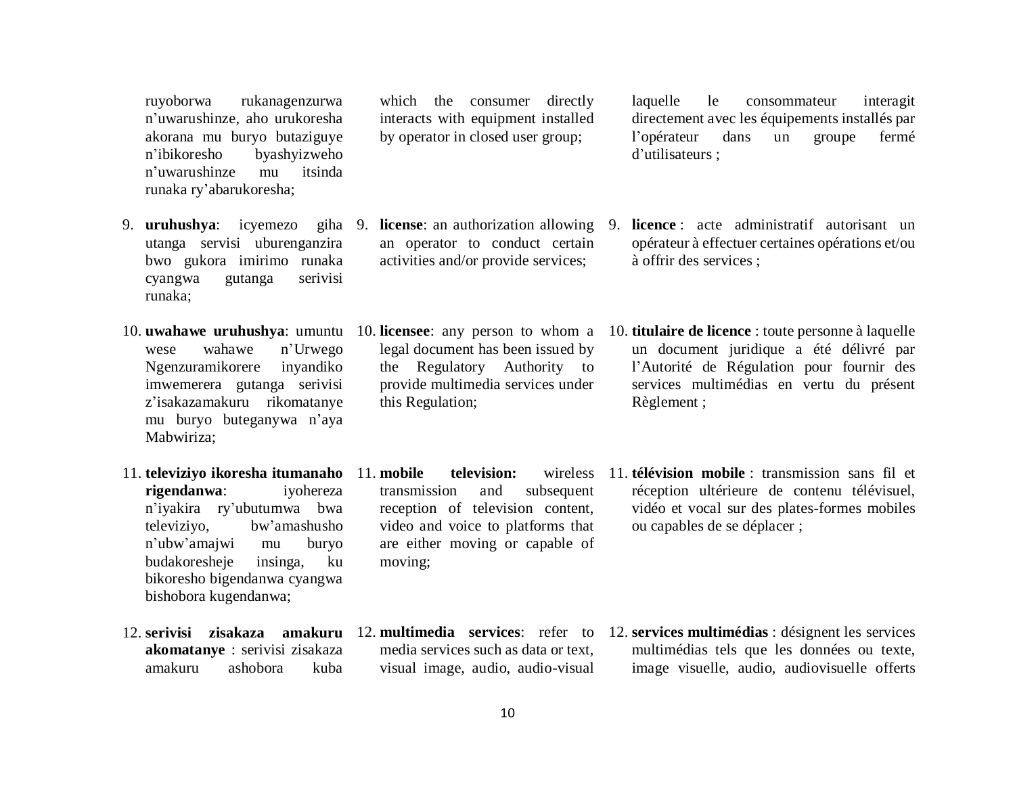ruyoborwa rukanagenzurwa n'uwarushinze, aho urukoresha akorana mu buryo butaziguye n'ibikoresho byashyizweho n'uwarushinze mu itsinda runaka ry'abarukoresha;

- 9. **uruhushya**: icyemezo utanga servisi uburenganzira bwo gukora imirimo runaka cyangwa gutanga serivisi runaka;
- wese wahawe n'Urwego Ngenzuramikorere inyandiko imwemerera gutanga serivisi z'isakazamakuru rikomatanye mu buryo buteganywa n'aya Mabwiriza;
- **rigendanwa**: iyohereza n'iyakira ry'ubutumwa bwa televiziyo, bw'amashusho n'ubw'amajwi mu buryo budakoresheje insinga, ku bikoresho bigendanwa cyangwa bishobora kugendanwa;
- 12. **serivisi zisakaza amakuru** 12. **multimedia services**: refer to **akomatanye** : serivisi zisakaza amakuru ashobora kuba

which the consumer directly interacts with equipment installed by operator in closed user group;

- 9. **license**: an authorization allowing an operator to conduct certain activities and/or provide services;
- 10. **uwahawe uruhushya**: umuntu 10. **licensee**: any person to whom a legal document has been issued by the Regulatory Authority to provide multimedia services under this Regulation;
- 11. **televiziyo ikoresha itumanaho**  11. **mobile television:** wireless transmission and subsequent reception of television content, video and voice to platforms that are either moving or capable of moving;
	- media services such as data or text, visual image, audio, audio-visual

laquelle le consommateur interagit directement avec les équipements installés par l'opérateur dans un groupe fermé d'utilisateurs ;

- 9. **licence** : acte administratif autorisant un opérateur à effectuer certaines opérations et/ou à offrir des services ;
- 10. **titulaire de licence** : toute personne à laquelle un document juridique a été délivré par l'Autorité de Régulation pour fournir des services multimédias en vertu du présent Règlement ;
- 11. **télévision mobile** : transmission sans fil et réception ultérieure de contenu télévisuel, vidéo et vocal sur des plates-formes mobiles ou capables de se déplacer ;

12. **services multimédias** : désignent les services multimédias tels que les données ou texte, image visuelle, audio, audiovisuelle offerts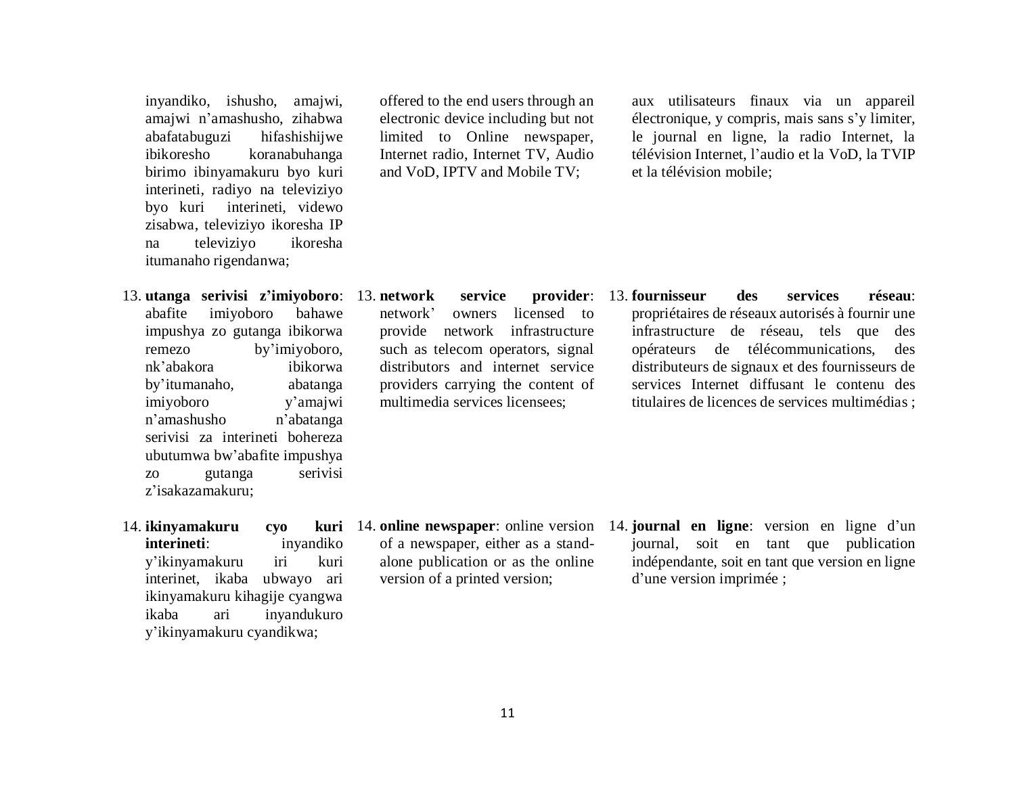inyandiko, ishusho, amajwi, amajwi n'amashusho, zihabwa abafatabuguzi hifashishijwe ibikoresho koranabuhanga birimo ibinyamakuru byo kuri interineti, radiyo na televiziyo byo kuri interineti, videwo zisabwa, televiziyo ikoresha IP na televiziyo ikoresha itumanaho rigendanwa;

- 13. **utanga serivisi z'imiyoboro**: 13. **network service provider**: abafite imiyoboro bahawe impushya zo gutanga ibikorwa remezo by'imiyoboro, nk'abakora ibikorwa by'itumanaho, abatanga imiyoboro y'amajwi n'amashusho n'abatanga serivisi za interineti bohereza ubutumwa bw'abafite impushya zo gutanga serivisi z'isakazamakuru;
- 14. **ikinyamakuru cyo kuri interineti**: inyandiko y'ikinyamakuru iri kuri interinet, ikaba ubwayo ari ikinyamakuru kihagije cyangwa ikaba ari inyandukuro y'ikinyamakuru cyandikwa;

offered to the end users through an electronic device including but not limited to Online newspaper, Internet radio, Internet TV, Audio and VoD, IPTV and Mobile TV;

aux utilisateurs finaux via un appareil électronique, y compris, mais sans s'y limiter, le journal en ligne, la radio Internet, la télévision Internet, l'audio et la VoD, la TVIP et la télévision mobile;

network' owners licensed to provide network infrastructure such as telecom operators, signal distributors and internet service providers carrying the content of multimedia services licensees;

13. **fournisseur des services réseau**: propriétaires de réseaux autorisés à fournir une infrastructure de réseau, tels que des opérateurs de télécommunications, des distributeurs de signaux et des fournisseurs de services Internet diffusant le contenu des titulaires de licences de services multimédias ;

- 14. **online newspaper**: online version of a newspaper, either as a standalone publication or as the online version of a printed version;
- 14. **journal en ligne**: version en ligne d'un journal, soit en tant que publication indépendante, soit en tant que version en ligne d'une version imprimée ;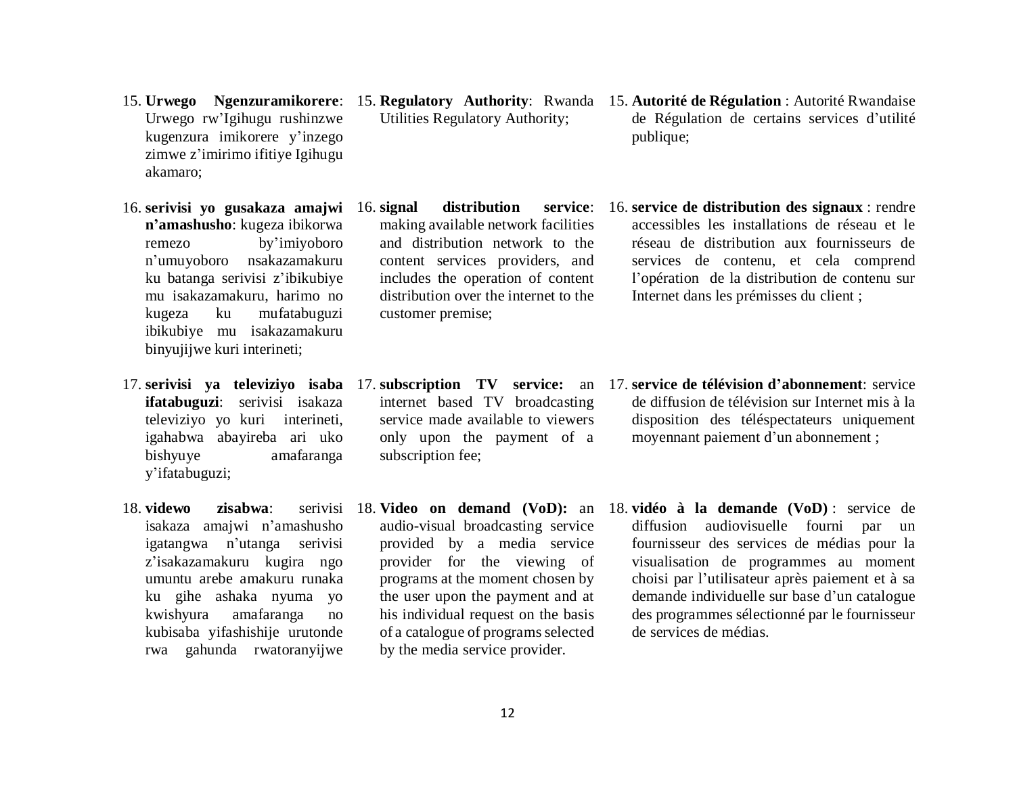- Urwego rw'Igihugu rushinzwe kugenzura imikorere y'inzego zimwe z'imirimo ifitiye Igihugu akamaro;
- 16. **serivisi yo gusakaza amajwi n'amashusho**: kugeza ibikorwa remezo by'imiyoboro n'umuyoboro nsakazamakuru ku batanga serivisi z'ibikubiye mu isakazamakuru, harimo no kugeza ku mufatabuguzi ibikubiye mu isakazamakuru binyujijwe kuri interineti;
- **ifatabuguzi**: serivisi isakaza televiziyo yo kuri interineti, igahabwa abayireba ari uko bishyuye amafaranga y'ifatabuguzi;
- 18. **videwo zisabwa**: isakaza amajwi n'amashusho igatangwa n'utanga serivisi z'isakazamakuru kugira ngo umuntu arebe amakuru runaka ku gihe ashaka nyuma yo kwishyura amafaranga no kubisaba yifashishije urutonde rwa gahunda rwatoranyijwe
- Utilities Regulatory Authority;
- 16. **signal distribution service**: making available network facilities and distribution network to the content services providers, and includes the operation of content distribution over the internet to the customer premise;
- internet based TV broadcasting service made available to viewers only upon the payment of a subscription fee;
- 18. **Video on demand (VoD):** an audio-visual broadcasting service provided by a media service provider for the viewing of programs at the moment chosen by the user upon the payment and at his individual request on the basis of a catalogue of programs selected by the media service provider.
- 15. **Urwego Ngenzuramikorere**: 15. **Regulatory Authority**: Rwanda 15. **Autorité de Régulation** : Autorité Rwandaise de Régulation de certains services d'utilité publique;
	- 16. **service de distribution des signaux** : rendre accessibles les installations de réseau et le réseau de distribution aux fournisseurs de services de contenu, et cela comprend l'opération de la distribution de contenu sur Internet dans les prémisses du client ;
- 17. **serivisi ya televiziyo isaba**  17. **subscription TV service:** an 17. **service de télévision d'abonnement**: service de diffusion de télévision sur Internet mis à la disposition des téléspectateurs uniquement moyennant paiement d'un abonnement ;
	- 18. **vidéo à la demande (VoD)** : service de diffusion audiovisuelle fourni par un fournisseur des services de médias pour la visualisation de programmes au moment choisi par l'utilisateur après paiement et à sa demande individuelle sur base d'un catalogue des programmes sélectionné par le fournisseur de services de médias.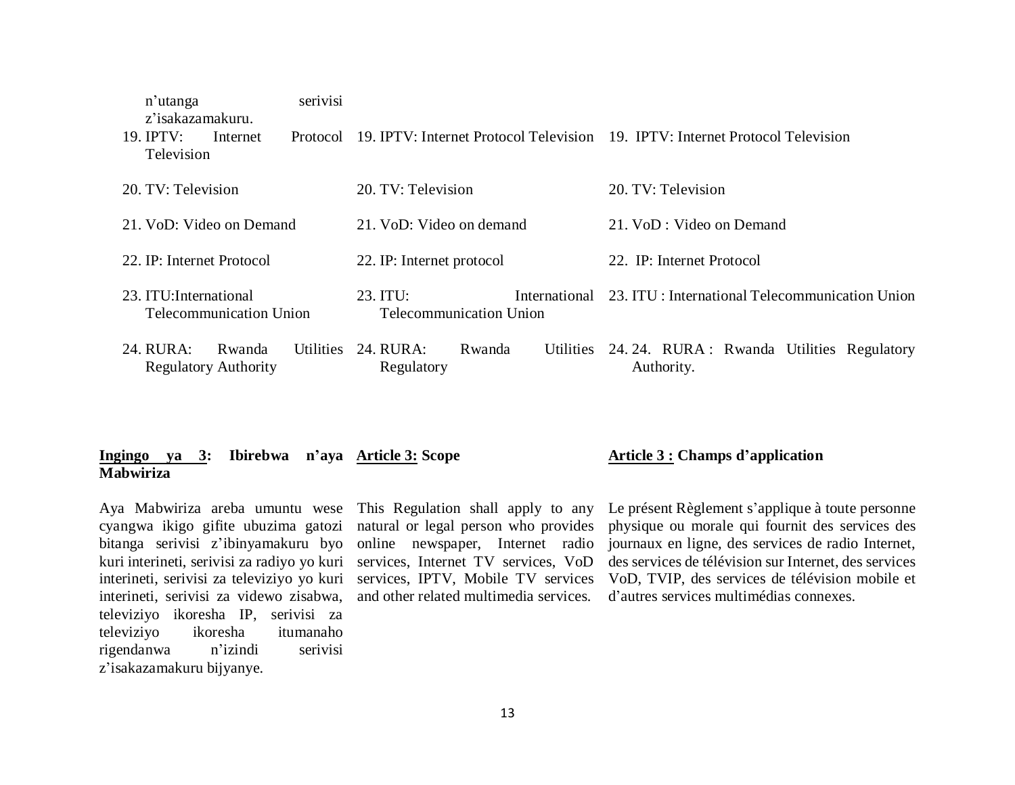| serivisi<br>n'utanga<br>z'isakazamakuru.<br>19. IPTV:<br>Internet<br>Protocol<br>Television |                                | 19. IPTV: Internet Protocol Television 19. IPTV: Internet Protocol Television |  |  |
|---------------------------------------------------------------------------------------------|--------------------------------|-------------------------------------------------------------------------------|--|--|
|                                                                                             |                                |                                                                               |  |  |
| 20. TV: Television                                                                          | 20. TV: Television             | 20. TV: Television                                                            |  |  |
|                                                                                             |                                |                                                                               |  |  |
| 21. VoD: Video on Demand                                                                    | 21. VoD: Video on demand       | 21. VoD : Video on Demand                                                     |  |  |
|                                                                                             |                                |                                                                               |  |  |
| 22. IP: Internet Protocol                                                                   | 22. IP: Internet protocol      | 22. IP: Internet Protocol                                                     |  |  |
|                                                                                             |                                |                                                                               |  |  |
| 23. ITU: International                                                                      | 23. ITU:<br>International      | 23. ITU: International Telecommunication Union                                |  |  |
| <b>Telecommunication Union</b>                                                              | <b>Telecommunication Union</b> |                                                                               |  |  |
|                                                                                             |                                |                                                                               |  |  |
| 24. RURA:<br>Utilities<br>Rwanda                                                            | 24. RURA:<br>Rwanda            | Utilities 24.24. RURA: Rwanda Utilities Regulatory                            |  |  |
| <b>Regulatory Authority</b>                                                                 | Regulatory                     | Authority.                                                                    |  |  |
|                                                                                             |                                |                                                                               |  |  |

#### **Ingingo ya 3: Ibirebwa n'aya Article 3: Scope Mabwiriza**

Aya Mabwiriza areba umuntu wese cyangwa ikigo gifite ubuzima gatozi bitanga serivisi z'ibinyamakuru byo kuri interineti, serivisi za radiyo yo kuri interineti, serivisi za televiziyo yo kuri interineti, serivisi za videwo zisabwa, televiziyo ikoresha IP, serivisi za televiziyo ikoresha itumanaho rigendanwa n'izindi serivisi z'isakazamakuru bijyanye.

This Regulation shall apply to any natural or legal person who provides online newspaper, Internet radio services, Internet TV services, VoD services, IPTV, Mobile TV services and other related multimedia services. Le présent Règlement s'applique à toute personne physique ou morale qui fournit des services des journaux en ligne, des services de radio Internet, des services de télévision sur Internet, des services VoD, TVIP, des services de télévision mobile et d'autres services multimédias connexes.

**Article 3 : Champs d'application**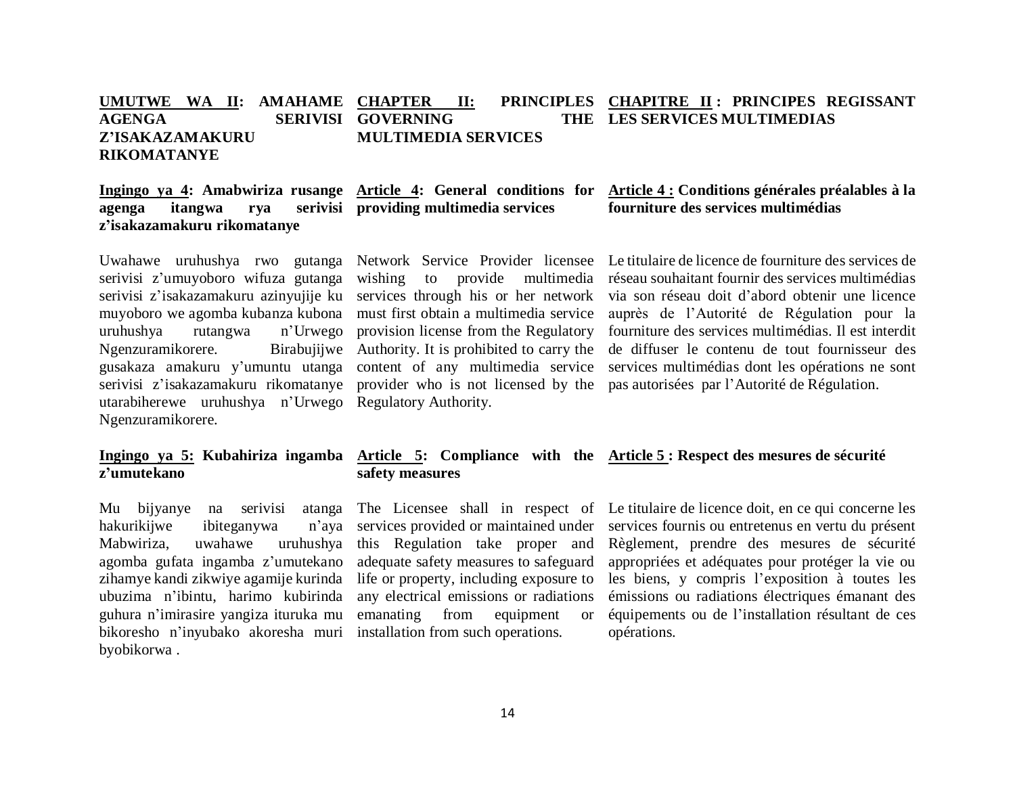#### **UMUTWE WA II: AMAHAME AGENGA SERIVISI GOVERNING THE Z'ISAKAZAMAKURU RIKOMATANYE CHAPTER II: PRINCIPLES CHAPITRE II : PRINCIPES REGISSANT MULTIMEDIA SERVICES LES SERVICES MULTIMEDIAS**

## agenga itangwa rya **z'isakazamakuru rikomatanye**

serivisi z'umuyoboro wifuza gutanga serivisi z'isakazamakuru azinyujije ku services through his or her network muyoboro we agomba kubanza kubona must first obtain a multimedia service uruhushya rutangwa n'Urwego provision license from the Regulatory Ngenzuramikorere. gusakaza amakuru y'umuntu utanga content of any multimedia service utarabiherewe uruhushya n'Urwego Regulatory Authority. Ngenzuramikorere.

## **z'umutekano**

Mu bijyanye na serivisi atanga hakurikijwe ibiteganywa n'aya Mabwiriza, uwahawe uruhushya agomba gufata ingamba z'umutekano zihamye kandi zikwiye agamije kurinda ubuzima n'ibintu, harimo kubirinda guhura n'imirasire yangiza ituruka mu bikoresho n'inyubako akoresha muri installation from such operations. byobikorwa .

## **Ingingo ya 4: Amabwiriza rusange Article 4: General conditions for providing multimedia services**

wishing to provide multimedia Birabujiiwe Authority. It is prohibited to carry the

#### **Article 4 : Conditions générales préalables à la fourniture des services multimédias**

Uwahawe uruhushya rwo gutanga Network Service Provider licensee Le titulaire de licence de fourniture des services de serivisi z'isakazamakuru rikomatanye provider who is not licensed by the pas autorisées par l'Autorité de Régulation. réseau souhaitant fournir des services multimédias via son réseau doit d'abord obtenir une licence auprès de l'Autorité de Régulation pour la fourniture des services multimédias. Il est interdit de diffuser le contenu de tout fournisseur des services multimédias dont les opérations ne sont

### **Ingingo ya 5: Kubahiriza ingamba Article 5: Compliance with the Article 5 : Respect des mesures de sécurité safety measures**

services provided or maintained under this Regulation take proper and adequate safety measures to safeguard life or property, including exposure to any electrical emissions or radiations emanating from equipment or

The Licensee shall in respect of Le titulaire de licence doit, en ce qui concerne les services fournis ou entretenus en vertu du présent Règlement, prendre des mesures de sécurité appropriées et adéquates pour protéger la vie ou les biens, y compris l'exposition à toutes les émissions ou radiations électriques émanant des équipements ou de l'installation résultant de ces opérations.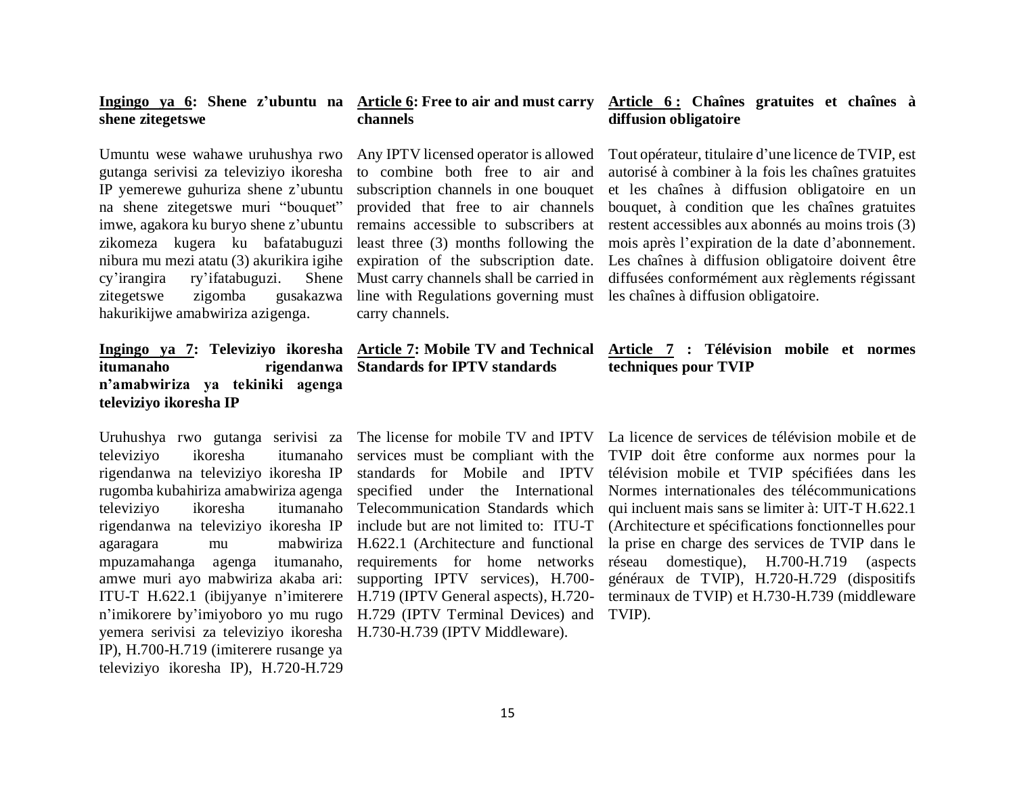#### **Ingingo ya 6: Shene z'ubuntu na Article 6: Free to air and must carry shene zitegetswe**

Umuntu wese wahawe uruhushya rwo gutanga serivisi za televiziyo ikoresha IP yemerewe guhuriza shene z'ubuntu na shene zitegetswe muri "bouquet" imwe, agakora ku buryo shene z'ubuntu zikomeza kugera ku bafatabuguzi nibura mu mezi atatu (3) akurikira igihe expiration of the subscription date. cy'irangira ry'ifatabuguzi. Shene zitegetswe zigomba gusakazwa hakurikijwe amabwiriza azigenga.

## **Ingingo ya 7: Televiziyo ikoresha Article 7: Mobile TV and Technical itumanaho rigendanwa n'amabwiriza ya tekiniki agenga televiziyo ikoresha IP**

televiziyo ikoresha itumanaho rigendanwa na televiziyo ikoresha IP rugomba kubahiriza amabwiriza agenga televiziyo ikoresha itumanaho rigendanwa na televiziyo ikoresha IP agaragara mu mabwiriza mpuzamahanga agenga itumanaho, amwe muri ayo mabwiriza akaba ari: ITU-T H.622.1 (ibijyanye n'imiterere n'imikorere by'imiyoboro yo mu rugo yemera serivisi za televiziyo ikoresha H.730-H.739 (IPTV Middleware). IP), H.700-H.719 (imiterere rusange ya televiziyo ikoresha IP), H.720-H.729

## **channels**

Any IPTV licensed operator is allowed to combine both free to air and subscription channels in one bouquet provided that free to air channels remains accessible to subscribers at least three (3) months following the Must carry channels shall be carried in line with Regulations governing must carry channels.

## **Standards for IPTV standards**

Uruhushya rwo gutanga serivisi za The license for mobile TV and IPTV standards for Mobile and IPTV specified under the International Telecommunication Standards which include but are not limited to: ITU-T H.622.1 (Architecture and functional requirements for home networks supporting IPTV services), H.700- H.719 (IPTV General aspects), H.720- H.729 (IPTV Terminal Devices) and TVIP).

#### **Article 6 : Chaînes gratuites et chaînes à diffusion obligatoire**

Tout opérateur, titulaire d'une licence de TVIP, est autorisé à combiner à la fois les chaînes gratuites et les chaînes à diffusion obligatoire en un bouquet, à condition que les chaînes gratuites restent accessibles aux abonnés au moins trois (3) mois après l'expiration de la date d'abonnement. Les chaînes à diffusion obligatoire doivent être diffusées conformément aux règlements régissant les chaînes à diffusion obligatoire.

#### **Article 7 : Télévision mobile et normes techniques pour TVIP**

services must be compliant with the TVIP doit être conforme aux normes pour la La licence de services de télévision mobile et de télévision mobile et TVIP spécifiées dans les Normes internationales des télécommunications qui incluent mais sans se limiter à: UIT-T H.622.1 (Architecture et spécifications fonctionnelles pour la prise en charge des services de TVIP dans le réseau domestique), H.700-H.719 (aspects généraux de TVIP), H.720-H.729 (dispositifs terminaux de TVIP) et H.730-H.739 (middleware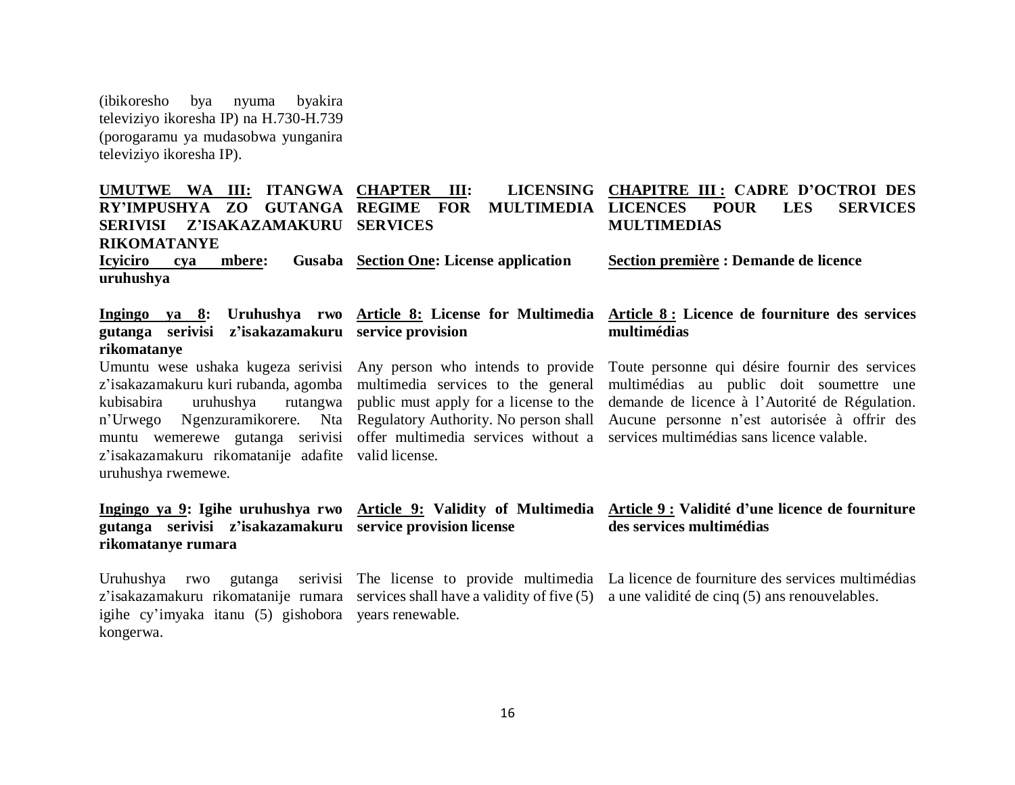(ibikoresho bya nyuma byakira televiziyo ikoresha IP) na H.730-H.739 (porogaramu ya mudasobwa yunganira televiziyo ikoresha IP).

| UMUTWE WA III: ITANGWA CHAPTER III:<br>ZO<br><b>GUTANGA REGIME</b><br><b>RY'IMPUSHYA</b><br><b>Z'ISAKAZAMAKURU</b><br><b>SERIVISI</b><br><b>RIKOMATANYE</b><br><b>Icyiciro</b><br>mbere:<br>cya<br>uruhushya                                                                                                                                                                                           | <b>FOR</b><br><b>MULTIMEDIA</b><br><b>SERVICES</b><br>Gusaba Section One: License application | LICENSING CHAPITRE III: CADRE D'OCTROI DES<br><b>LES</b><br><b>LICENCES</b><br><b>POUR</b><br><b>SERVICES</b><br><b>MULTIMEDIAS</b><br>Section première : Demande de licence                                                               |  |
|--------------------------------------------------------------------------------------------------------------------------------------------------------------------------------------------------------------------------------------------------------------------------------------------------------------------------------------------------------------------------------------------------------|-----------------------------------------------------------------------------------------------|--------------------------------------------------------------------------------------------------------------------------------------------------------------------------------------------------------------------------------------------|--|
| gutanga serivisi z'isakazamakuru service provision<br>rikomatanye                                                                                                                                                                                                                                                                                                                                      |                                                                                               | Ingingo ya 8: Uruhushya rwo Article 8: License for Multimedia Article 8: Licence de fourniture des services<br>multimédias                                                                                                                 |  |
| Umuntu wese ushaka kugeza serivisi Any person who intends to provide<br>z'isakazamakuru kuri rubanda, agomba multimedia services to the general<br>kubisabira<br>uruhushya<br>n'Urwego Ngenzuramikorere. Nta Regulatory Authority. No person shall<br>muntu wemerewe gutanga serivisi offer multimedia services without a<br>z'isakazamakuru rikomatanije adafite valid license.<br>uruhushya rwemewe. | rutangwa public must apply for a license to the                                               | Toute personne qui désire fournir des services<br>multimédias au public doit soumettre une<br>demande de licence à l'Autorité de Régulation.<br>Aucune personne n'est autorisée à offrir des<br>services multimédias sans licence valable. |  |
| gutanga serivisi z'isakazamakuru service provision license<br>rikomatanye rumara                                                                                                                                                                                                                                                                                                                       |                                                                                               | Ingingo ya 9: Igihe uruhushya rwo Article 9: Validity of Multimedia Article 9: Validité d'une licence de fourniture<br>des services multimédias                                                                                            |  |
| Uruhushya rwo<br>igihe cy'imyaka itanu (5) gishobora years renewable.<br>kongerwa.                                                                                                                                                                                                                                                                                                                     |                                                                                               | gutanga serivisi The license to provide multimedia La licence de fourniture des services multimédias<br>z'isakazamakuru rikomatanije rumara services shall have a validity of five (5) a une validité de cinq (5) ans renouvelables.       |  |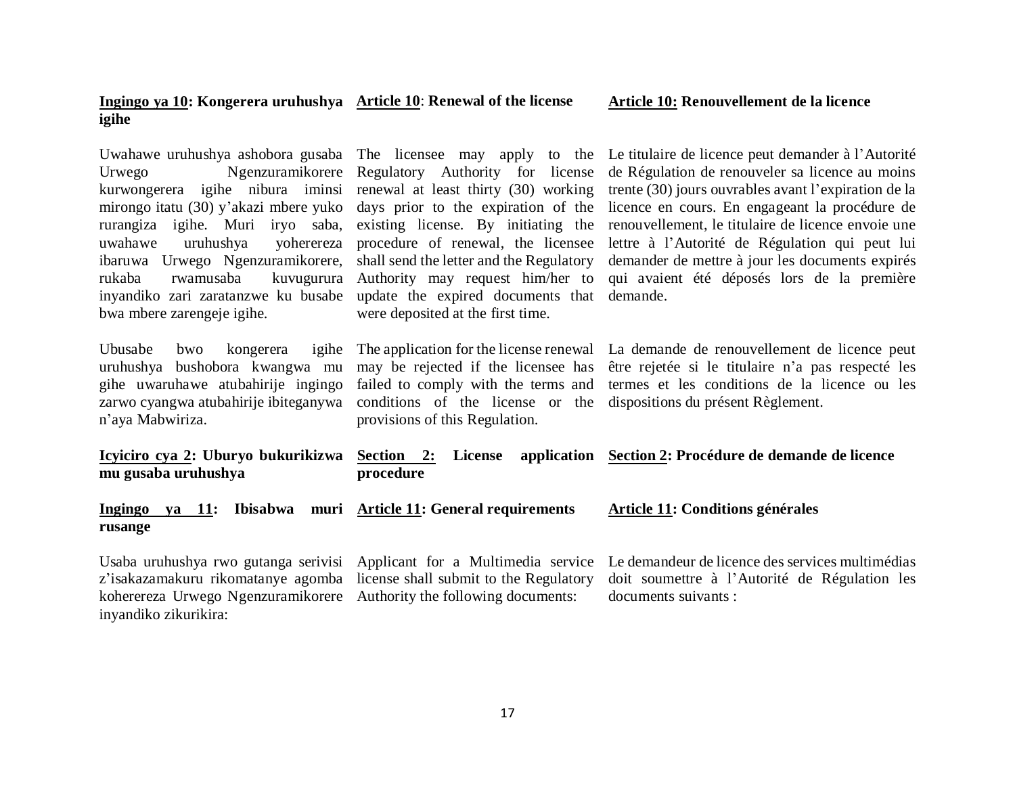| igihe                                                                                                                                                                                                                                                                                                                                                                                              |                                                                                                                                                                                                                                                                                                                                                        |                                                                                                                                                                                                                                                                                                                                                                                                                                       |  |  |
|----------------------------------------------------------------------------------------------------------------------------------------------------------------------------------------------------------------------------------------------------------------------------------------------------------------------------------------------------------------------------------------------------|--------------------------------------------------------------------------------------------------------------------------------------------------------------------------------------------------------------------------------------------------------------------------------------------------------------------------------------------------------|---------------------------------------------------------------------------------------------------------------------------------------------------------------------------------------------------------------------------------------------------------------------------------------------------------------------------------------------------------------------------------------------------------------------------------------|--|--|
| Uwahawe uruhushya ashobora gusaba The licensee may apply to the<br>Ngenzuramikorere<br>Urwego<br>kurwongerera igihe nibura iminsi<br>mirongo itatu (30) y'akazi mbere yuko<br>rurangiza igihe. Muri iryo saba,<br>uwahawe<br>uruhushya<br>yoherereza<br>ibaruwa Urwego Ngenzuramikorere,<br>rukaba<br>rwamusaba<br>kuvugurura<br>inyandiko zari zaratanzwe ku busabe<br>bwa mbere zarengeje igihe. | Regulatory Authority for license<br>renewal at least thirty (30) working<br>days prior to the expiration of the<br>existing license. By initiating the<br>procedure of renewal, the licensee<br>shall send the letter and the Regulatory<br>Authority may request him/her to<br>update the expired documents that<br>were deposited at the first time. | Le titulaire de licence peut demander à l'Autorité<br>de Régulation de renouveler sa licence au moins<br>trente (30) jours ouvrables avant l'expiration de la<br>licence en cours. En engageant la procédure de<br>renouvellement, le titulaire de licence envoie une<br>lettre à l'Autorité de Régulation qui peut lui<br>demander de mettre à jour les documents expirés<br>qui avaient été déposés lors de la première<br>demande. |  |  |
| Ubusabe<br>bwo<br>kongerera<br>igihe<br>bushobora kwangwa mu<br>uruhushya<br>gihe uwaruhawe atubahirije ingingo<br>zarwo cyangwa atubahirije ibiteganywa<br>n'aya Mabwiriza.                                                                                                                                                                                                                       | The application for the license renewal<br>may be rejected if the licensee has<br>failed to comply with the terms and<br>conditions of the license or the<br>provisions of this Regulation.                                                                                                                                                            | La demande de renouvellement de licence peut<br>être rejetée si le titulaire n'a pas respecté les<br>termes et les conditions de la licence ou les<br>dispositions du présent Règlement.                                                                                                                                                                                                                                              |  |  |
| <u>Icyiciro cya 2</u> : Uburyo bukurikizwa<br>mu gusaba uruhushya                                                                                                                                                                                                                                                                                                                                  | Section 2:<br><b>License</b><br>procedure                                                                                                                                                                                                                                                                                                              | application Section 2: Procédure de demande de licence                                                                                                                                                                                                                                                                                                                                                                                |  |  |
| <b>Ingingo</b><br>ya 11:<br>rusange                                                                                                                                                                                                                                                                                                                                                                | Ibisabwa muri Article 11: General requirements                                                                                                                                                                                                                                                                                                         | Article 11: Conditions générales                                                                                                                                                                                                                                                                                                                                                                                                      |  |  |
| Usaba uruhushya rwo gutanga serivisi<br>z'isakazamakuru rikomatanye agomba<br>koherereza Urwego Ngenzuramikorere<br>inyandiko zikurikira:                                                                                                                                                                                                                                                          | Le demandeur de licence des services multimédias<br>doit soumettre à l'Autorité de Régulation les<br>documents suivants :                                                                                                                                                                                                                              |                                                                                                                                                                                                                                                                                                                                                                                                                                       |  |  |

**Article 10: Renouvellement de la licence**

**Ingingo ya 10: Kongerera uruhushya Article 10**: **Renewal of the license** 

17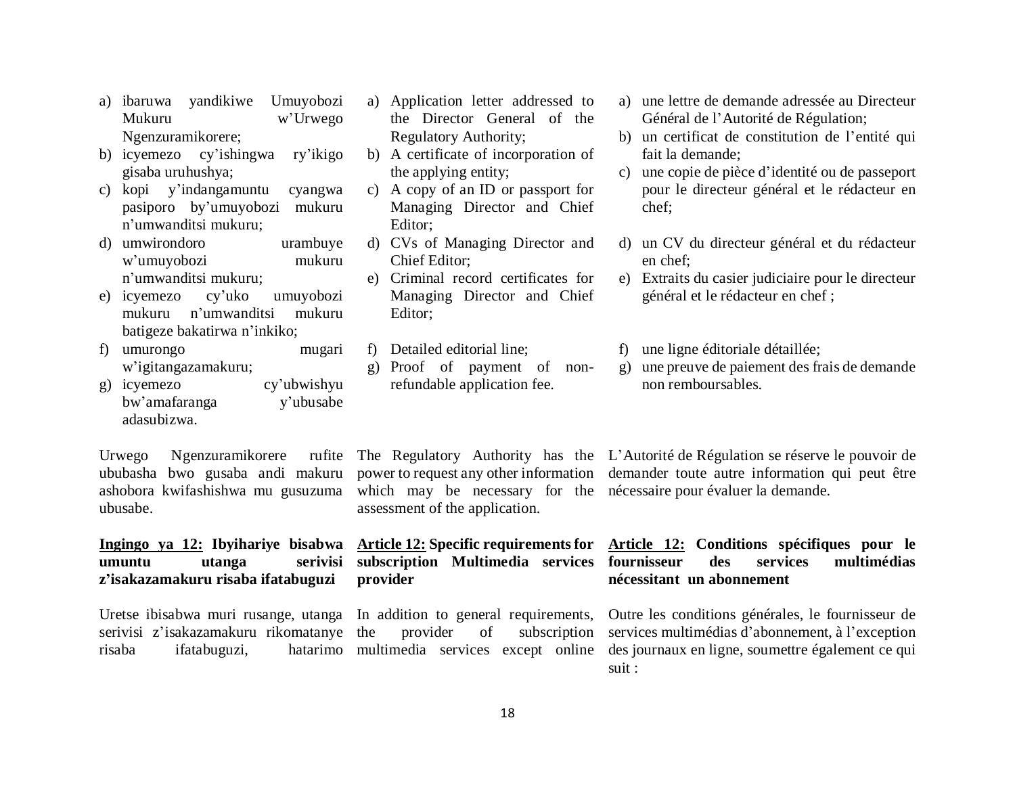- a) ibaruwa yandikiwe Umuyobozi Mukuru w'Urwego Ngenzuramikorere;
- b) icyemezo cy'ishingwa ry'ikigo gisaba uruhushya;
- c) kopi y'indangamuntu cyangwa pasiporo by'umuyobozi mukuru n'umwanditsi mukuru;
- d) umwirondoro urambuye w'umuyobozi mukuru n'umwanditsi mukuru;
- e) icyemezo cy'uko umuyobozi mukuru n'umwanditsi mukuru batigeze bakatirwa n'inkiko;
- f) umurongo mugari w'igitangazamakuru;
- g) icyemezo cy'ubwishyu bw'amafaranga y'ubusabe adasubizwa.

Urwego Ngenzuramikorere ububasha bwo gusaba andi makuru ashobora kwifashishwa mu gusuzuma ubusabe.

### **Ingingo ya 12: Ibyihariye bisabwa Article 12: Specific requirements for umuntu utanga serivisi z'isakazamakuru risaba ifatabuguzi**

Uretse ibisabwa muri rusange, utanga In addition to general requirements, serivisi z'isakazamakuru rikomatanye risaba ifatabuguzi,

- a) Application letter addressed to the Director General of the Regulatory Authority;
- b) A certificate of incorporation of the applying entity;
- c) A copy of an ID or passport for Managing Director and Chief Editor;
- d) CVs of Managing Director and Chief Editor;
- e) Criminal record certificates for Managing Director and Chief Editor;
- f) Detailed editorial line;
- g) Proof of payment of nonrefundable application fee.

which may be necessary for the nécessaire pour évaluer la demande. assessment of the application.

## **subscription Multimedia services provider**

provider of subscription hatarimo multimedia services except online

- a) une lettre de demande adressée au Directeur Général de l'Autorité de Régulation;
- b) un certificat de constitution de l'entité qui fait la demande;
- c) une copie de pièce d'identité ou de passeport pour le directeur général et le rédacteur en chef;
- d) un CV du directeur général et du rédacteur en chef;
- e) Extraits du casier judiciaire pour le directeur général et le rédacteur en chef ;
- f) une ligne éditoriale détaillée;
- g) une preuve de paiement des frais de demande non remboursables.

The Regulatory Authority has the L'Autorité de Régulation se réserve le pouvoir de power to request any other information demander toute autre information qui peut être

## **Article 12: Conditions spécifiques pour le fournisseur des services multimédias nécessitant un abonnement**

Outre les conditions générales, le fournisseur de services multimédias d'abonnement, à l'exception des journaux en ligne, soumettre également ce qui suit :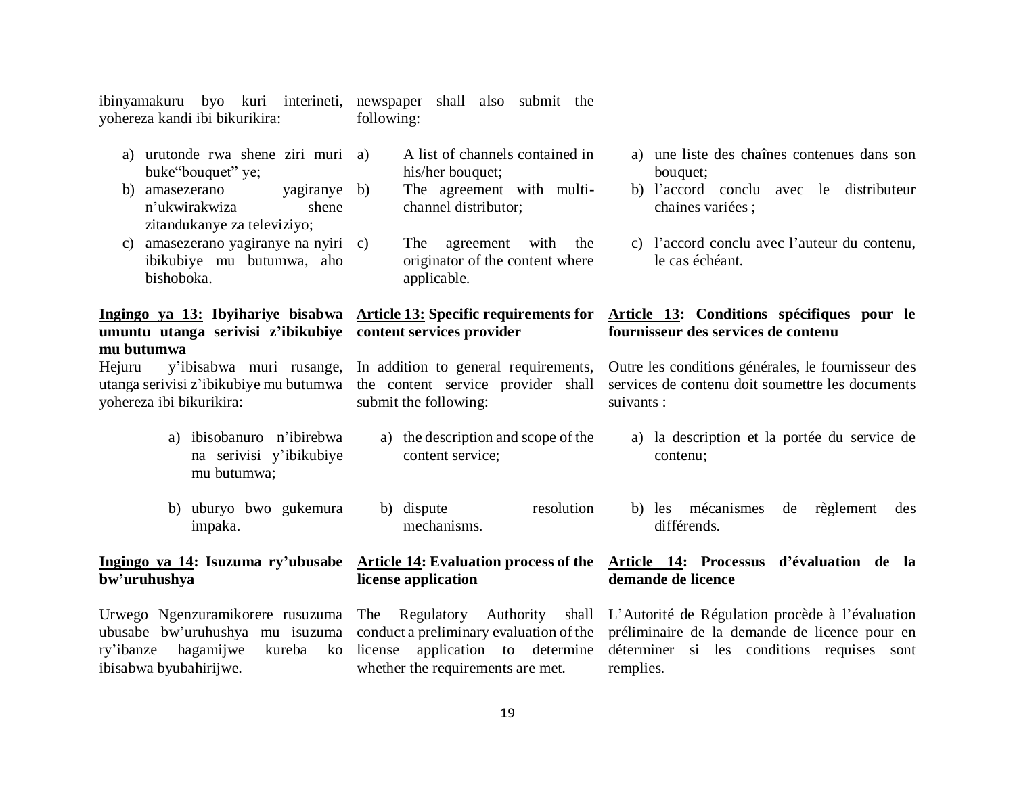ibinyamakuru byo kuri interineti, yohereza kandi ibi bikurikira: newspaper shall also submit the following:

| urutonde rwa shene ziri muri a)<br>a)<br>buke "bouquet" ye;                                                                                                                                    | A list of channels contained in<br>his/her bouquet;                                            | a) une liste des chaînes contenues dans son<br>bouquet;                                                                                                     |  |  |
|------------------------------------------------------------------------------------------------------------------------------------------------------------------------------------------------|------------------------------------------------------------------------------------------------|-------------------------------------------------------------------------------------------------------------------------------------------------------------|--|--|
| b)<br>amasezerano<br>yagiranye b)<br>n'ukwirakwiza<br>shene<br>zitandukanye za televiziyo;                                                                                                     | The agreement with multi-<br>channel distributor;                                              | b) l'accord conclu avec le distributeur<br>chaines variées ;                                                                                                |  |  |
| amasezerano yagiranye na nyiri c)<br>C)<br>ibikubiye mu butumwa, aho<br>bishoboka.                                                                                                             | agreement with<br>the<br>The<br>originator of the content where<br>applicable.                 | c) l'accord conclu avec l'auteur du contenu,<br>le cas échéant.                                                                                             |  |  |
| Ingingo ya 13: Ibyihariye bisabwa Article 13: Specific requirements for<br>umuntu utanga serivisi z'ibikubiye content services provider<br>mu butumwa                                          |                                                                                                | Article 13: Conditions spécifiques pour le<br>fournisseur des services de contenu                                                                           |  |  |
| Hejuru<br>utanga serivisi z'ibikubiye mu butumwa the content service provider shall<br>yohereza ibi bikurikira:                                                                                | y'ibisabwa muri rusange, In addition to general requirements,<br>submit the following:         | Outre les conditions générales, le fournisseur des<br>services de contenu doit soumettre les documents<br>suivants :                                        |  |  |
| ibisobanuro n'ibirebwa<br>a)<br>na serivisi y'ibikubiye<br>mu butumwa;                                                                                                                         | a) the description and scope of the<br>content service;                                        | a) la description et la portée du service de<br>contenu;                                                                                                    |  |  |
| b) uburyo bwo gukemura<br>impaka.                                                                                                                                                              | resolution<br>b) dispute<br>mechanisms.                                                        | b) les mécanismes<br>de<br>règlement<br>des<br>différends.                                                                                                  |  |  |
| bw'uruhushya                                                                                                                                                                                   | license application                                                                            | <u>Ingingo ya 14</u> : Isuzuma ry'ubusabe Article 14: Evaluation process of the Article 14: Processus d'évaluation de la<br>demande de licence              |  |  |
| Urwego Ngenzuramikorere rusuzuma The Regulatory<br>ubusabe bw'uruhushya mu isuzuma conduct a preliminary evaluation of the<br>hagamijwe<br>kureba<br>ry'ibanze<br>ko<br>ibisabwa byubahirijwe. | Authority<br>shall<br>application to determine<br>license<br>whether the requirements are met. | L'Autorité de Régulation procède à l'évaluation<br>préliminaire de la demande de licence pour en<br>déterminer si les conditions requises sont<br>remplies. |  |  |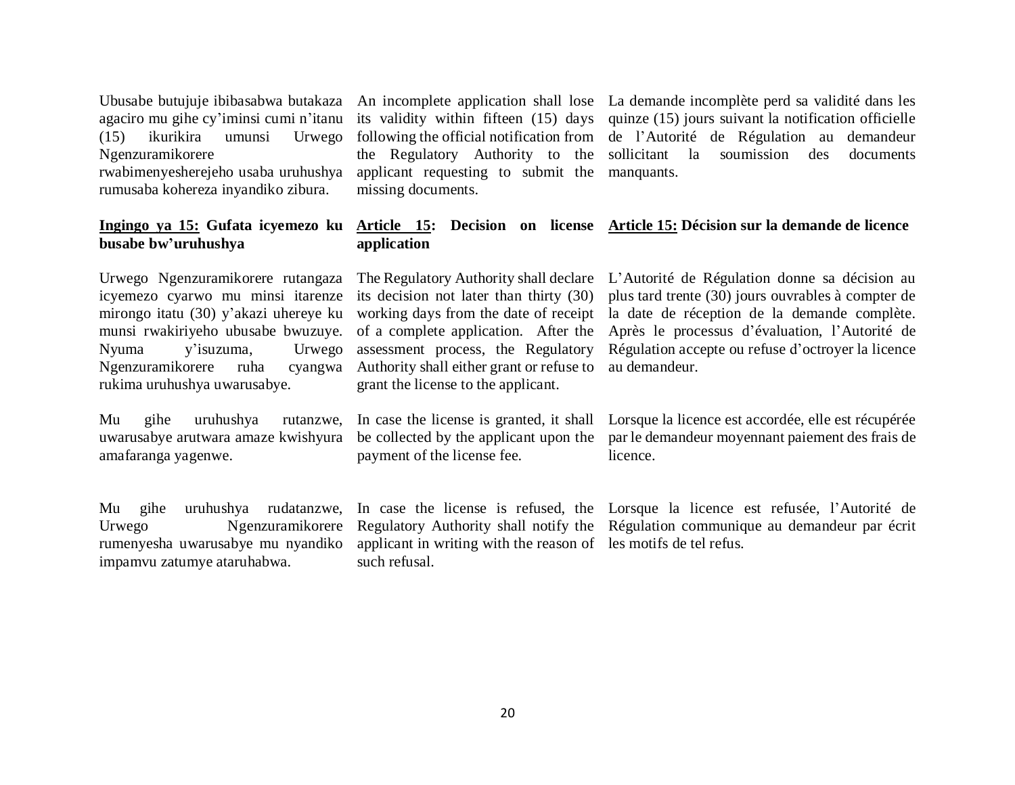agaciro mu gihe cy'iminsi cumi n'itanu (15) ikurikira umunsi Urwego Ngenzuramikorere rwabimenyesherejeho usaba uruhushya

rumusaba kohereza inyandiko zibura.

## **busabe bw'uruhushya**

Urwego Ngenzuramikorere rutangaza icyemezo cyarwo mu minsi itarenze mirongo itatu (30) y'akazi uhereye ku munsi rwakiriyeho ubusabe bwuzuye. Nyuma y'isuzuma, Urwego Ngenzuramikorere ruha rukima uruhushya uwarusabye.

Mu gihe uruhushya rutanzwe, uwarusabye arutwara amaze kwishyura amafaranga yagenwe.

Mu gihe uruhushya rudatanzwe, Urwego Ngenzuramikorere rumenyesha uwarusabye mu nyandiko impamvu zatumye ataruhabwa.

its validity within fifteen (15) days following the official notification from the Regulatory Authority to the applicant requesting to submit the manquants. missing documents.

Ubusabe butujuje ibibasabwa butakaza An incomplete application shall lose La demande incomplète perd sa validité dans les quinze (15) jours suivant la notification officielle de l'Autorité de Régulation au demandeur sollicitant la soumission des documents

#### **Ingingo ya 15: Gufata icyemezo ku Article 15: Decision on license Article 15: Décision sur la demande de licence application**

its decision not later than thirty (30) working days from the date of receipt assessment process, the Regulatory Authority shall either grant or refuse to au demandeur. grant the license to the applicant.

payment of the license fee.

applicant in writing with the reason of les motifs de tel refus.such refusal.

The Regulatory Authority shall declare L'Autorité de Régulation donne sa décision au of a complete application. After the Après le processus d'évaluation, l'Autorité de plus tard trente (30) jours ouvrables à compter de la date de réception de la demande complète. Régulation accepte ou refuse d'octroyer la licence

In case the license is granted, it shall Lorsque la licence est accordée, elle est récupérée be collected by the applicant upon the par le demandeur moyennant paiement des frais de licence.

In case the license is refused, the Lorsque la licence est refusée, l'Autorité de Regulatory Authority shall notify the Régulation communique au demandeur par écrit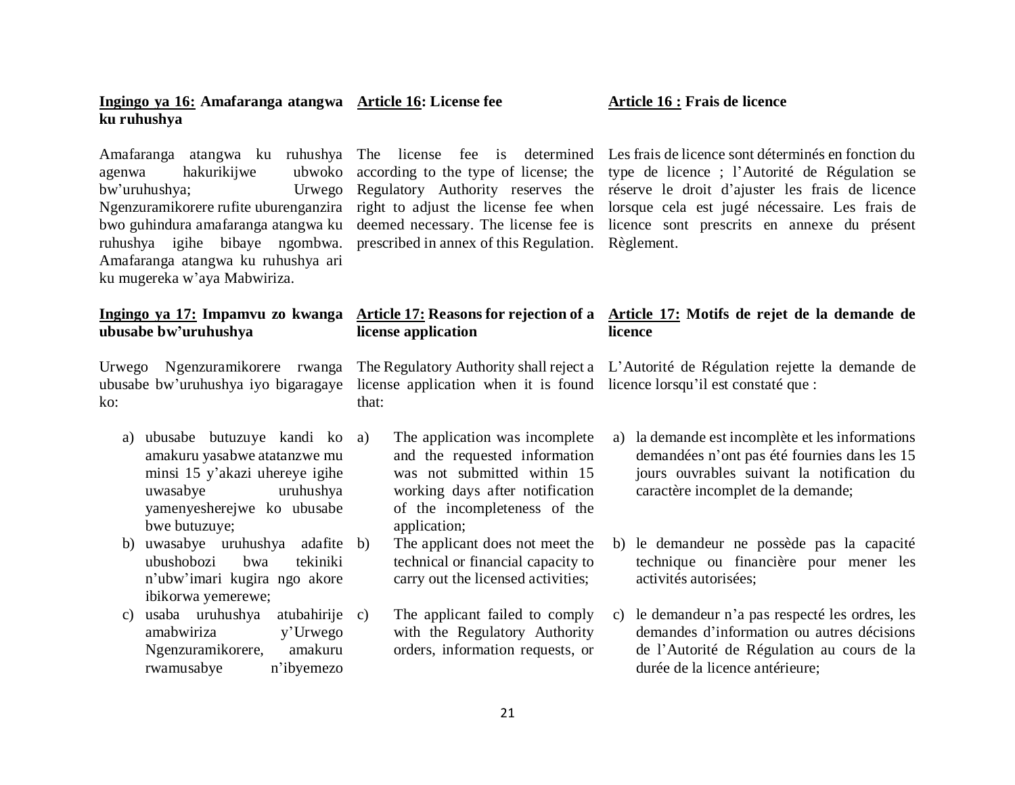#### bw'uruhushya; Ngenzuramikorere rufite uburenganzira right to adjust the license fee when lorsque cela est jugé nécessaire. Les frais de bwo guhindura amafaranga atangwa ku deemed necessary. The license fee is licence sont prescrits en annexe du présent ruhushya igihe bibaye ngombwa. prescribed in annex of this Regulation. Règlement. Amafaranga atangwa ku ruhushya ari ku mugereka w'aya Mabwiriza. **Ingingo ya 17: Impamvu zo kwanga Article 17: Reasons for rejection of a Article 17: Motifs de rejet de la demande de ubusabe bw'uruhushya** Urwego Ngenzuramikorere rwanga ubusabe bw'uruhushya iyo bigaragaye license application when it is found licence lorsqu'il est constaté que : **license application**  The Regulatory Authority shall reject a L'Autorité de Régulation rejette la demande de that: **licence**

a) ubusabe butuzuye kandi ko amakuru yasabwe atatanzwe mu minsi 15 y'akazi uhereye igihe uwasabye uruhushya yamenyesherejwe ko ubusabe bwe butuzuye;

agenwa hakurikijwe ubwoko

**Ingingo ya 16: Amafaranga atangwa Article 16: License fee** 

**ku ruhushya**

ko:

- b) uwasabye uruhushya adafite ubushobozi bwa tekiniki n'ubw'imari kugira ngo akore ibikorwa yemerewe;
- c) usaba uruhushya atubahirije amabwiriza y'Urwego Ngenzuramikorere, amakuru rwamusabye n'ibyemezo

The application was incomplete and the requested information was not submitted within 15 working days after notification

- of the incompleteness of the application; The applicant does not meet the technical or financial capacity to carry out the licensed activities;
- The applicant failed to comply with the Regulatory Authority orders, information requests, or
- a) la demande est incomplète et les informations demandées n'ont pas été fournies dans les 15 jours ouvrables suivant la notification du caractère incomplet de la demande;
- b) le demandeur ne possède pas la capacité technique ou financière pour mener les activités autorisées;
- c) le demandeur n'a pas respecté les ordres, les demandes d'information ou autres décisions de l'Autorité de Régulation au cours de la durée de la licence antérieure;

Amafaranga atangwa ku ruhushya The license fee is determined Les frais de licence sont déterminés en fonction du according to the type of license; the type de licence ; l'Autorité de Régulation se Regulatory Authority reserves the réserve le droit d'ajuster les frais de licence

## **Article 16 : Frais de licence**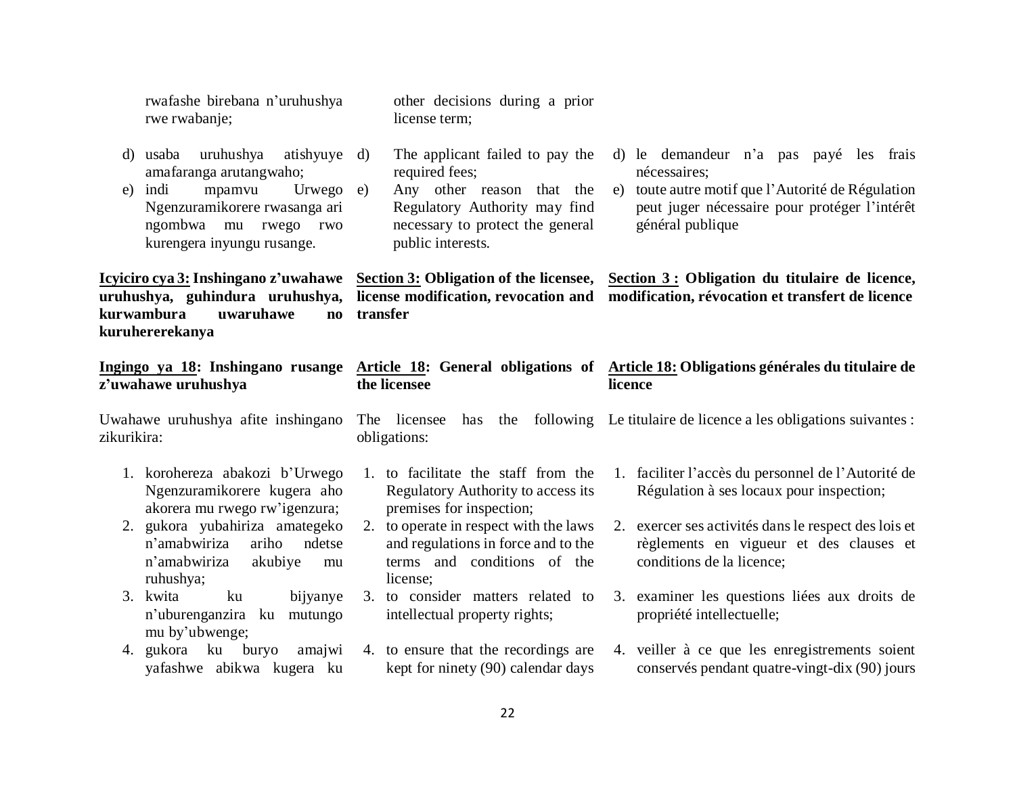|             | rwafashe birebana n'uruhushya<br>rwe rwabanje;                                                                                                                                         | other decisions during a prior<br>license term;                                                                                                                          |                                                                                                                                                                                     |  |  |
|-------------|----------------------------------------------------------------------------------------------------------------------------------------------------------------------------------------|--------------------------------------------------------------------------------------------------------------------------------------------------------------------------|-------------------------------------------------------------------------------------------------------------------------------------------------------------------------------------|--|--|
| e)          | uruhushya<br>atishyuye d)<br>d) usaba<br>amafaranga arutangwaho;<br>Urwego e)<br>indi<br>mpamvu<br>Ngenzuramikorere rwasanga ari<br>ngombwa mu rwego rwo<br>kurengera inyungu rusange. | The applicant failed to pay the<br>required fees;<br>Any other reason that the<br>Regulatory Authority may find<br>necessary to protect the general<br>public interests. | d) le demandeur n'a pas payé les frais<br>nécessaires;<br>toute autre motif que l'Autorité de Régulation<br>e)<br>peut juger nécessaire pour protéger l'intérêt<br>général publique |  |  |
|             | Icyiciro cya 3: Inshingano z'uwahawe<br>uruhushya, guhindura uruhushya,<br>kurwambura<br>uwaruhawe<br>$\mathbf{n}\mathbf{o}$<br>kuruhererekanya                                        | transfer                                                                                                                                                                 | Section 3: Obligation of the licensee, Section 3: Obligation du titulaire de licence,<br>license modification, revocation and modification, révocation et transfert de licence      |  |  |
|             | Ingingo ya 18: Inshingano rusange<br>z'uwahawe uruhushya                                                                                                                               | the licensee                                                                                                                                                             | Article 18: General obligations of Article 18: Obligations générales du titulaire de<br>licence                                                                                     |  |  |
|             |                                                                                                                                                                                        |                                                                                                                                                                          |                                                                                                                                                                                     |  |  |
| zikurikira: | Uwahawe uruhushya afite inshingano                                                                                                                                                     | The licensee<br>obligations:                                                                                                                                             | has the following Le titulaire de licence a les obligations suivantes :                                                                                                             |  |  |
|             | 1. korohereza abakozi b'Urwego<br>Ngenzuramikorere kugera aho<br>akorera mu rwego rw'igenzura;                                                                                         | 1. to facilitate the staff from the<br>Regulatory Authority to access its<br>premises for inspection;                                                                    | 1. faciliter l'accès du personnel de l'Autorité de<br>Régulation à ses locaux pour inspection;                                                                                      |  |  |
|             | 2. gukora yubahiriza amategeko<br>n'amabwiriza<br>ariho<br>ndetse<br>n'amabwiriza<br>akubiye<br>mu                                                                                     | 2. to operate in respect with the laws<br>and regulations in force and to the<br>terms and conditions of the                                                             | 2. exercer ses activités dans le respect des lois et<br>règlements en vigueur et des clauses et<br>conditions de la licence;                                                        |  |  |
|             | ruhushya;<br>3. kwita<br>ku<br>bijyanye<br>n'uburenganzira ku mutungo<br>mu by'ubwenge;                                                                                                | license;<br>3. to consider matters related to<br>intellectual property rights;                                                                                           | 3. examiner les questions liées aux droits de<br>propriété intellectuelle;                                                                                                          |  |  |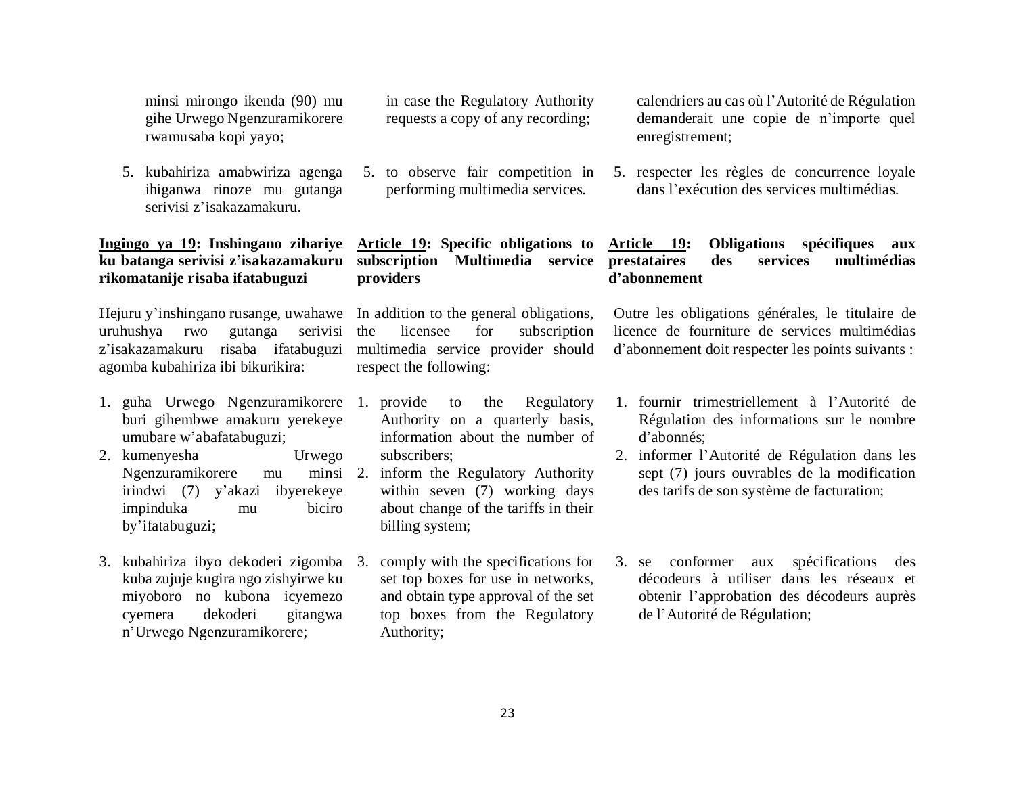minsi mirongo ikenda (90) mu gihe Urwego Ngenzuramikorere rwamusaba kopi yayo;

5. kubahiriza amabwiriza agenga ihiganwa rinoze mu gutanga serivisi z'isakazamakuru.

### **Ingingo ya 19: Inshingano zihariye ku batanga serivisi z'isakazamakuru rikomatanije risaba ifatabuguzi**

Hejuru y'inshingano rusange, uwahawe uruhushya rwo gutanga serivisi z'isakazamakuru risaba ifatabuguzi agomba kubahiriza ibi bikurikira:

- 1. guha Urwego Ngenzuramikorere buri gihembwe amakuru yerekeye umubare w'abafatabuguzi;
- 2. kumenyesha Urwego Ngenzuramikorere mu minsi irindwi (7) y'akazi ibyerekeye impinduka mu biciro by'ifatabuguzi;
- 3. kubahiriza ibyo dekoderi zigomba kuba zujuje kugira ngo zishyirwe ku miyoboro no kubona icyemezo cyemera dekoderi gitangwa n'Urwego Ngenzuramikorere;

in case the Regulatory Authority requests a copy of any recording;

5. to observe fair competition in performing multimedia services.

**Article 19: Specific obligations to subscription Multimedia service providers** 

In addition to the general obligations, the licensee for subscription multimedia service provider should respect the following:

- provide to the Regulatory Authority on a quarterly basis, information about the number of subscribers;
- inform the Regulatory Authority within seven (7) working days about change of the tariffs in their billing system;
- 3. comply with the specifications for set top boxes for use in networks, and obtain type approval of the set top boxes from the Regulatory Authority;

calendriers au cas où l'Autorité de Régulation demanderait une copie de n'importe quel enregistrement;

5. respecter les règles de concurrence loyale dans l'exécution des services multimédias.

## **Article 19: Obligations spécifiques aux prestataires des services multimédias d'abonnement**

Outre les obligations générales, le titulaire de licence de fourniture de services multimédias d'abonnement doit respecter les points suivants :

- 1. fournir trimestriellement à l'Autorité de Régulation des informations sur le nombre d'abonnés;
- 2. informer l'Autorité de Régulation dans les sept (7) jours ouvrables de la modification des tarifs de son système de facturation;
- 3. se conformer aux spécifications des décodeurs à utiliser dans les réseaux et obtenir l'approbation des décodeurs auprès de l'Autorité de Régulation;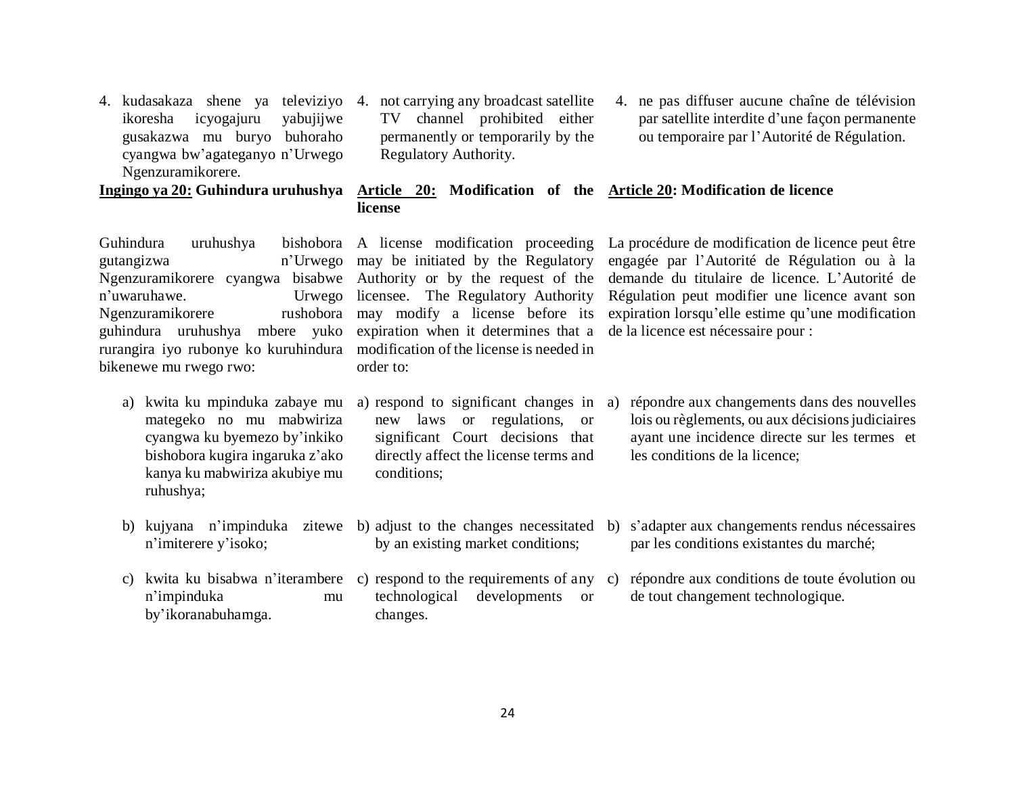| icyogajuru<br>ikoresha<br>yabujijwe<br>gusakazwa mu buryo buhoraho<br>cyangwa bw'agateganyo n'Urwego<br>Ngenzuramikorere.                                                                                                                                                  | channel prohibited either<br>TV<br>permanently or temporarily by the<br>Regulatory Authority.                                                                                                                                                                        | par satellite interdite d'une façon permanente<br>ou temporaire par l'Autorité de Régulation.                                                                                                                                                                                                     |  |
|----------------------------------------------------------------------------------------------------------------------------------------------------------------------------------------------------------------------------------------------------------------------------|----------------------------------------------------------------------------------------------------------------------------------------------------------------------------------------------------------------------------------------------------------------------|---------------------------------------------------------------------------------------------------------------------------------------------------------------------------------------------------------------------------------------------------------------------------------------------------|--|
| Ingingo ya 20: Guhindura uruhushya                                                                                                                                                                                                                                         | Article 20: Modification of the Article 20: Modification de licence<br>license                                                                                                                                                                                       |                                                                                                                                                                                                                                                                                                   |  |
| Guhindura<br>uruhushya<br>gutangizwa<br>Ngenzuramikorere cyangwa bisabwe Authority or by the request of the<br>n'uwaruhawe.<br>Urwego<br>rushobora<br>Ngenzuramikorere<br>guhindura uruhushya mbere yuko<br>rurangira iyo rubonye ko kuruhindura<br>bikenewe mu rwego rwo: | bishobora A license modification proceeding<br>n'Urwego may be initiated by the Regulatory<br>licensee. The Regulatory Authority<br>may modify a license before its<br>expiration when it determines that a<br>modification of the license is needed in<br>order to: | La procédure de modification de licence peut être<br>engagée par l'Autorité de Régulation ou à la<br>demande du titulaire de licence. L'Autorité de<br>Régulation peut modifier une licence avant son<br>expiration lorsqu'elle estime qu'une modification<br>de la licence est nécessaire pour : |  |
| kwita ku mpinduka zabaye mu<br>a)<br>mategeko no mu mabwiriza<br>cyangwa ku byemezo by'inkiko<br>bishobora kugira ingaruka z'ako<br>kanya ku mabwiriza akubiye mu<br>ruhushya;                                                                                             | a) respond to significant changes in<br>laws or regulations, or<br>new<br>significant Court decisions that<br>directly affect the license terms and<br>conditions;                                                                                                   | répondre aux changements dans des nouvelles<br>a)<br>lois ou règlements, ou aux décisions judiciaires<br>ayant une incidence directe sur les termes et<br>les conditions de la licence;                                                                                                           |  |
| n'imiterere y'isoko;                                                                                                                                                                                                                                                       | b) kujyana n'impinduka zitewe b) adjust to the changes necessitated b)<br>by an existing market conditions;                                                                                                                                                          | s'adapter aux changements rendus nécessaires<br>par les conditions existantes du marché;                                                                                                                                                                                                          |  |
| C)<br>n'impinduka<br>mu<br>by'ikoranabuhamga.                                                                                                                                                                                                                              | technological<br>developments<br><b>or</b><br>changes.                                                                                                                                                                                                               | kwita ku bisabwa n'iterambere c) respond to the requirements of any c) répondre aux conditions de toute évolution ou<br>de tout changement technologique.                                                                                                                                         |  |

- 4. kudasakaza shene ya televiziyo 4. not carrying any broadcast satellite TV channel prohibited either
- 4. ne pas diffuser aucune chaîne de télévision par satellite interdite d'une façon permanente

## 24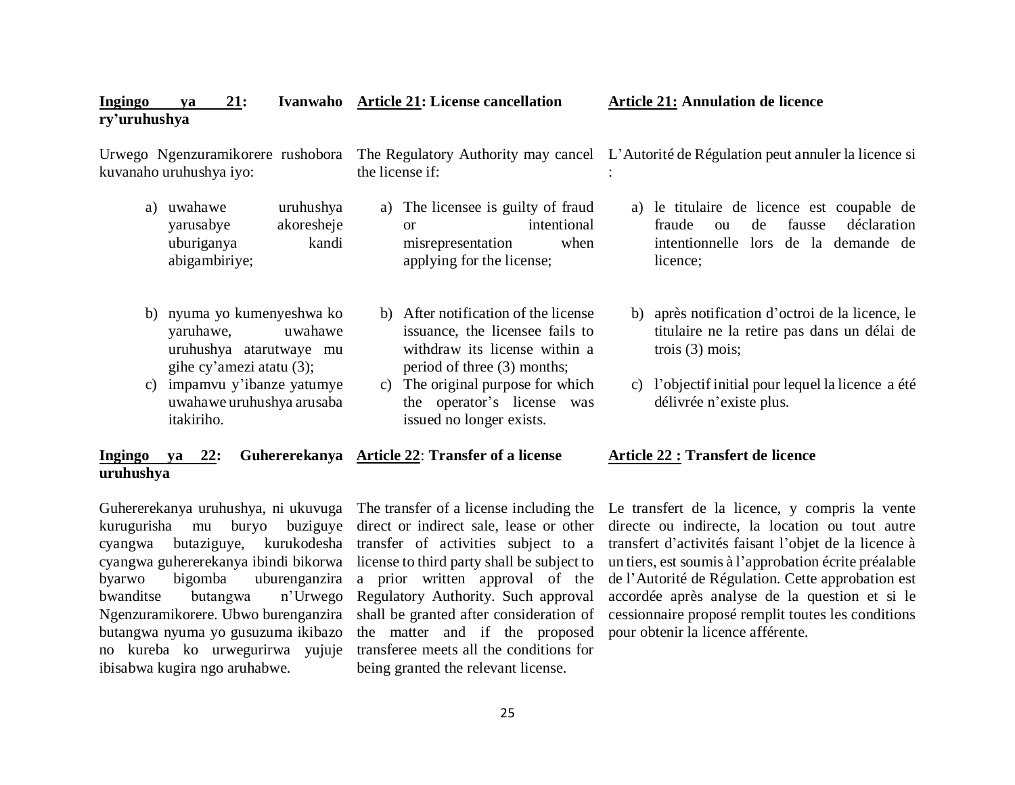| Ingingo<br>ry'uruhushya | 21:<br>ya                                                                                      |                                  |                 | Ivanwaho Article 21: License cancellation                                                                                               |    | <b>Article 21: Annulation de licence</b>                                                                                                   |
|-------------------------|------------------------------------------------------------------------------------------------|----------------------------------|-----------------|-----------------------------------------------------------------------------------------------------------------------------------------|----|--------------------------------------------------------------------------------------------------------------------------------------------|
|                         | Urwego Ngenzuramikorere rushobora<br>kuvanaho uruhushya iyo:                                   |                                  |                 | the license if:                                                                                                                         |    | The Regulatory Authority may cancel L'Autorité de Régulation peut annuler la licence si                                                    |
| a)                      | uwahawe<br>yarusabye<br>uburiganya<br>abigambiriye;                                            | uruhushya<br>akoresheje<br>kandi | a)              | The licensee is guilty of fraud<br>intentional<br><sub>or</sub><br>when<br>misrepresentation<br>applying for the license;               | a) | le titulaire de licence est coupable de<br>fausse<br>déclaration<br>fraude<br>de<br>ou<br>intentionnelle lors de la demande de<br>licence; |
|                         | b) nyuma yo kumenyeshwa ko<br>yaruhawe,<br>uruhushya atarutwaye mu<br>gihe cy'amezi atatu (3); | uwahawe                          |                 | b) After notification of the license<br>issuance, the licensee fails to<br>withdraw its license within a<br>period of three (3) months; |    | b) après notification d'octroi de la licence, le<br>titulaire ne la retire pas dans un délai de<br>trois $(3)$ mois;                       |
|                         | c) impamvu y'ibanze yatumye<br>uwahawe uruhushya arusaba<br>itakiriho.                         |                                  | $\mathcal{C}$ ) | The original purpose for which<br>the operator's license was<br>issued no longer exists.                                                | C) | l'objectif initial pour lequel la licence a été<br>délivrée n'existe plus.                                                                 |

#### **Ingingo ya** 22: **uruhushya Article 22**: **Transfer of a license Article 22 : Transfert de licence**

Guhererekanya uruhushya, ni ukuvuga The transfer of a license including the kurugurisha mu buryo buziguye direct or indirect sale, lease or other cyangwa butaziguye, kurukodesha transfer of activities subject to a cyangwa guhererekanya ibindi bikorwa license to third party shall be subject to byarwo bigomba uburenganzira bwanditse butangwa n'Urwego Regulatory Authority. Such approval Ngenzuramikorere. Ubwo burenganzira shall be granted after consideration of butangwa nyuma yo gusuzuma ikibazo no kureba ko urwegurirwa yujuje ibisabwa kugira ngo aruhabwe.

a prior written approval of the the matter and if the proposed transferee meets all the conditions for being granted the relevant license.

Le transfert de la licence, y compris la vente directe ou indirecte, la location ou tout autre transfert d'activités faisant l'objet de la licence à un tiers, est soumis à l'approbation écrite préalable de l'Autorité de Régulation. Cette approbation est accordée après analyse de la question et si le cessionnaire proposé remplit toutes les conditions pour obtenir la licence afférente.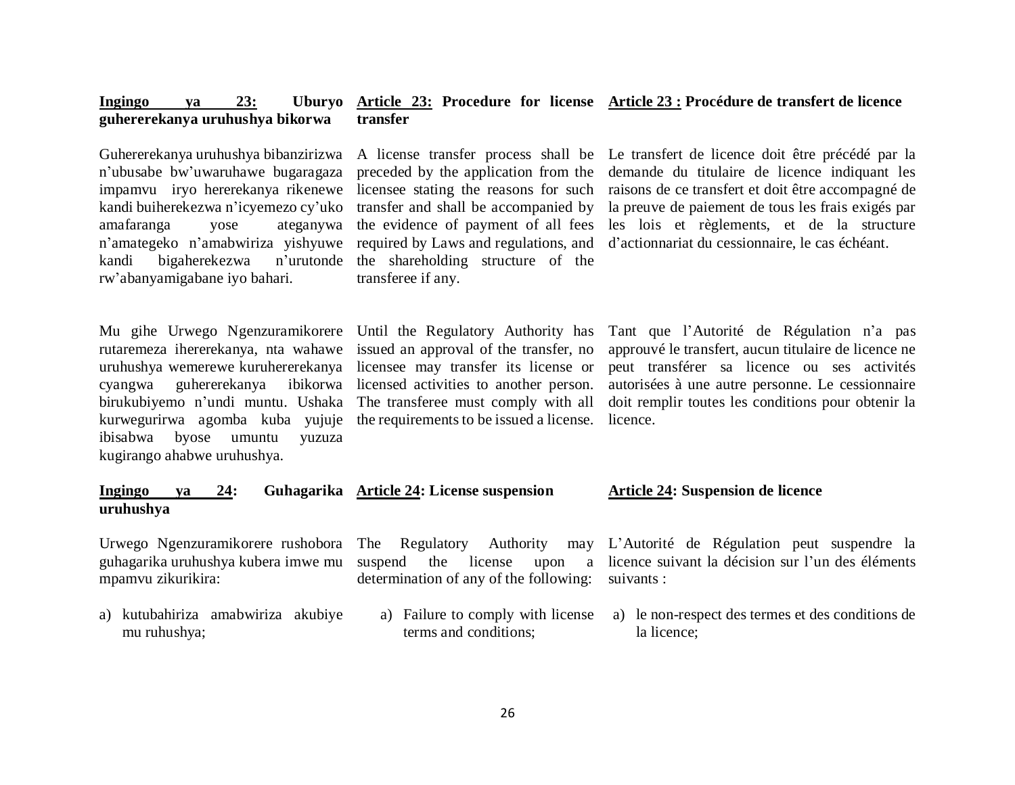#### **Ingingo ya 23: Uburyo Article 23: Procedure for license Article 23 : Procédure de transfert de licence guhererekanya uruhushya bikorwa transfer**

Guhererekanya uruhushya bibanzirizwa n'ubusabe bw'uwaruhawe bugaragaza kandi buiherekezwa n'icyemezo cy'uko amafaranga yose ateganywa n'amategeko n'amabwiriza yishyuwe kandi bigaherekezwa rw'abanyamigabane iyo bahari.

Mu gihe Urwego Ngenzuramikorere Until the Regulatory Authority has rutaremeza ihererekanya, nta wahawe issued an approval of the transfer, no uruhushya wemerewe kuruhererekanya licensee may transfer its license or cyangwa guhererekanya ibikorwa licensed activities to another person. birukubiyemo n'undi muntu. Ushaka The transferee must comply with all kurwegurirwa agomba kuba yujuje the requirements to be issued a license. ibisabwa byose umuntu yuzuza kugirango ahabwe uruhushya.

preceded by the application from the required by Laws and regulations, and n'urutonde the shareholding structure of the transferee if any.

impamvu iryo hererekanya rikenewe licensee stating the reasons for such raisons de ce transfert et doit être accompagné de A license transfer process shall be Le transfert de licence doit être précédé par la transfer and shall be accompanied by la preuve de paiement de tous les frais exigés par the evidence of payment of all fees les lois et règlements, et de la structure demande du titulaire de licence indiquant les d'actionnariat du cessionnaire, le cas échéant.

> Tant que l'Autorité de Régulation n'a pas approuvé le transfert, aucun titulaire de licence ne peut transférer sa licence ou ses activités autorisées à une autre personne. Le cessionnaire doit remplir toutes les conditions pour obtenir la licence.

#### **Ingingo ya 24: Guhagarika Article 24: License suspension uruhushya**

Urwego Ngenzuramikorere rushobora The Regulatory Authority may guhagarika uruhushya kubera imwe mu suspend the license upon a mpamvu zikurikira:

a) kutubahiriza amabwiriza akubiye mu ruhushya;

determination of any of the following:

a) Failure to comply with license terms and conditions;

### **Article 24: Suspension de licence**

L'Autorité de Régulation peut suspendre la licence suivant la décision sur l'un des éléments suivants :

a) le non-respect des termes et des conditions de la licence;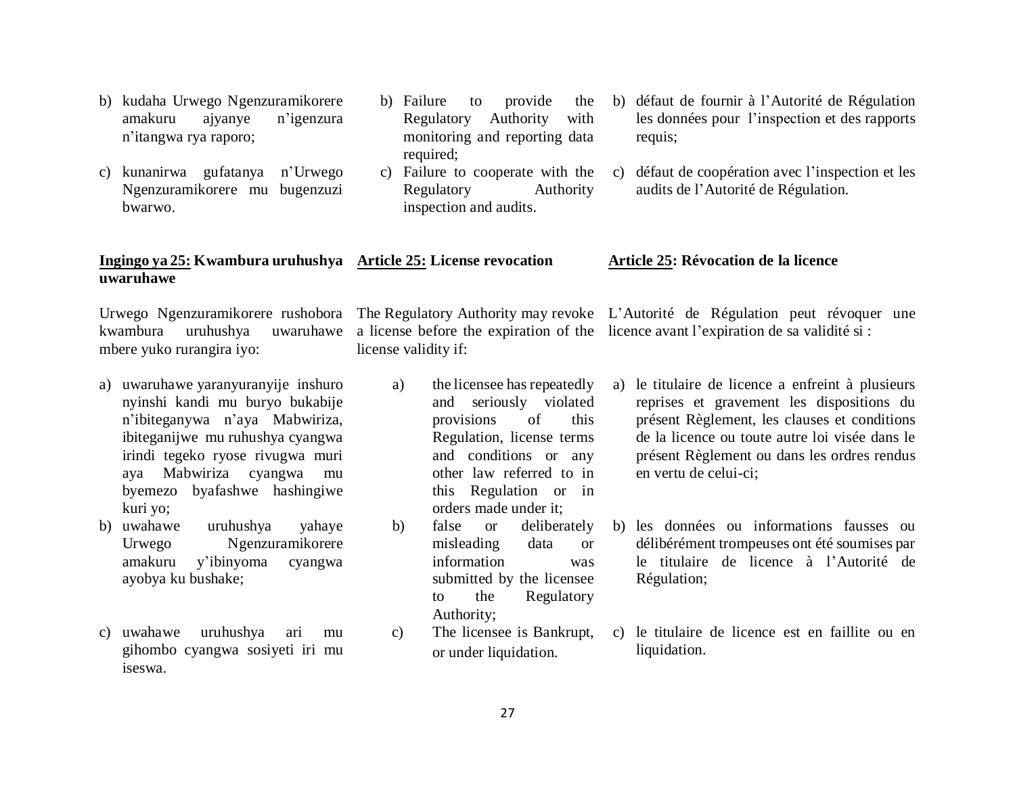- b) kudaha Urwego Ngenzuramikorere amakuru ajyanye n'igenzura n'itangwa rya raporo;
- c) kunanirwa gufatanya n'Urwego Ngenzuramikorere mu bugenzuzi bwarwo.
- b) Failure to provide the Regulatory Authority with monitoring and reporting data required;
- c) Failure to cooperate with the Regulatory Authority inspection and audits.
- b) défaut de fournir à l'Autorité de Régulation les données pour l'inspection et des rapports requis;
- c) défaut de coopération avec l'inspection et les audits de l'Autorité de Régulation.

#### **Ingingo ya 25: Kwambura uruhushya Article 25: License revocation Article 25: Révocation de la licence**

Urwego Ngenzuramikorere rushobora The Regulatory Authority may revoke L'Autorité de Régulation peut révoquer une kwambura uruhushya mbere yuko rurangira iyo:

**uwaruhawe**

- a) uwaruhawe yaranyuranyije inshuro nyinshi kandi mu buryo bukabije n'ibiteganywa n'aya Mabwiriza, ibiteganijwe mu ruhushya cyangwa irindi tegeko ryose rivugwa muri aya Mabwiriza cyangwa mu byemezo byafashwe hashingiwe kuri yo;
- b) uwahawe uruhushya yahaye Urwego Ngenzuramikorere amakuru y'ibinyoma cyangwa ayobya ku bushake;
- c) uwahawe uruhushya ari mu gihombo cyangwa sosiyeti iri mu iseswa.

license validity if:

- a) the licensee has repeatedly and seriously violated provisions of this Regulation, license terms and conditions or any other law referred to in this Regulation or in orders made under it;
- b) false or deliberately misleading data or information was submitted by the licensee to the Regulatory Authority;
- c) The licensee is Bankrupt, or under liquidation.
- a license before the expiration of the licence avant l'expiration de sa validité si :
	- a) le titulaire de licence a enfreint à plusieurs reprises et gravement les dispositions du présent Règlement, les clauses et conditions de la licence ou toute autre loi visée dans le présent Règlement ou dans les ordres rendus en vertu de celui-ci;
	- b) les données ou informations fausses ou délibérément trompeuses ont été soumises par le titulaire de licence à l'Autorité de Régulation;
	- c) le titulaire de licence est en faillite ou en liquidation.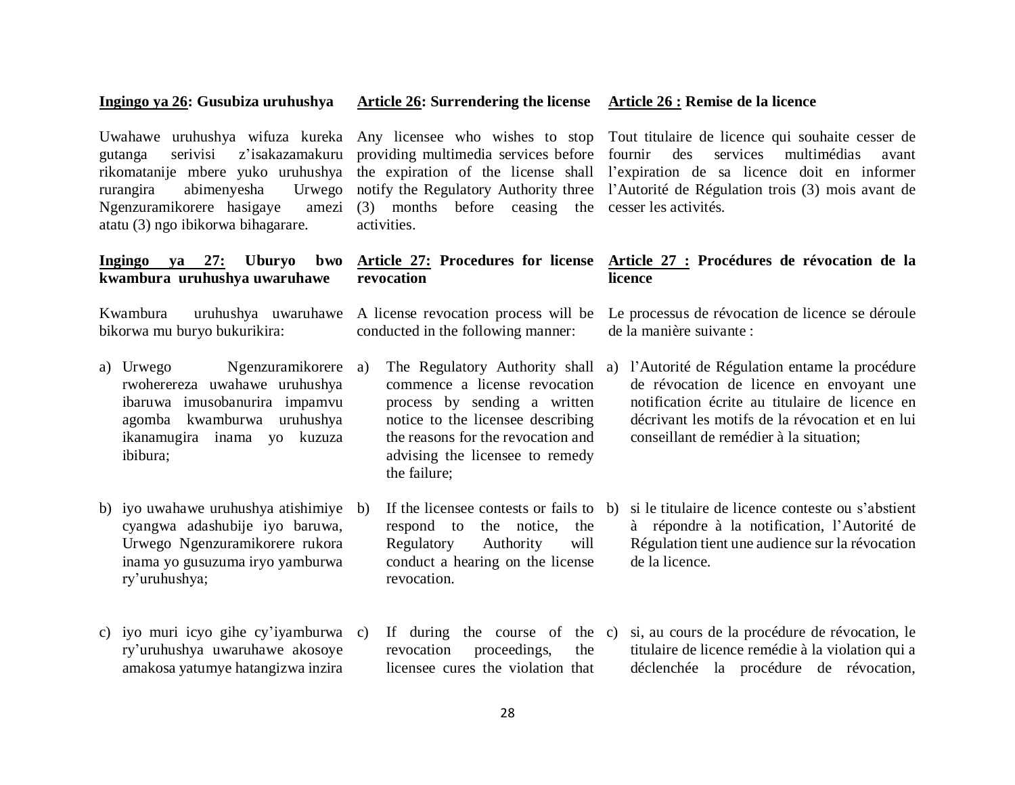#### **Ingingo ya 26: Gusubiza uruhushya**

rurangira abimenyesha Ngenzuramikorere hasigaye atatu (3) ngo ibikorwa bihagarare.

**Ingingo ya 27: Uburyo bwo kwambura uruhushya uwaruhawe** 

bikorwa mu buryo bukurikira:

- a) Urwego Ngenzuramikorere a) rwoherereza uwahawe uruhushya ibaruwa imusobanurira impamvu agomba kwamburwa uruhushya ikanamugira inama yo kuzuza ibibura;
- b) iyo uwahawe uruhushya atishimiye cyangwa adashubije iyo baruwa, Urwego Ngenzuramikorere rukora inama yo gusuzuma iryo yamburwa ry'uruhushya;
- c) iyo muri icyo gihe cy'iyamburwa ry'uruhushya uwaruhawe akosoye amakosa yatumye hatangizwa inzira

(3) months before ceasing the cesser les activités. activities.

#### **Article 27: Procedures for license Article 27 : Procédures de révocation de la revocation licence**

conducted in the following manner:

commence a license revocation process by sending a written notice to the licensee describing the reasons for the revocation and advising the licensee to remedy the failure;

respond to the notice, the Regulatory Authority will conduct a hearing on the license revocation.

revocation proceedings, the licensee cures the violation that

Uwahawe uruhushya wifuza kureka Any licensee who wishes to stop Tout titulaire de licence qui souhaite cesser de gutanga serivisi z'isakazamakuru providing multimedia services before fournir des services multimédias avant rikomatanije mbere yuko uruhushya the expiration of the license shall l'expiration de sa licence doit en informer notify the Regulatory Authority three l'Autorité de Régulation trois (3) mois avant de

Kwambura uruhushya uwaruhawe A license revocation process will be Le processus de révocation de licence se déroule de la manière suivante :

- a) The Regulatory Authority shall a) l'Autorité de Régulation entame la procédure de révocation de licence en envoyant une notification écrite au titulaire de licence en décrivant les motifs de la révocation et en lui conseillant de remédier à la situation;
- b) If the licensee contests or fails to b) si le titulaire de licence conteste ou s'abstient à répondre à la notification, l'Autorité de Régulation tient une audience sur la révocation de la licence.
- c) If during the course of the c) si, au cours de la procédure de révocation, le titulaire de licence remédie à la violation qui a déclenchée la procédure de révocation,

### **Article 26: Surrendering the license Article 26 : Remise de la licence**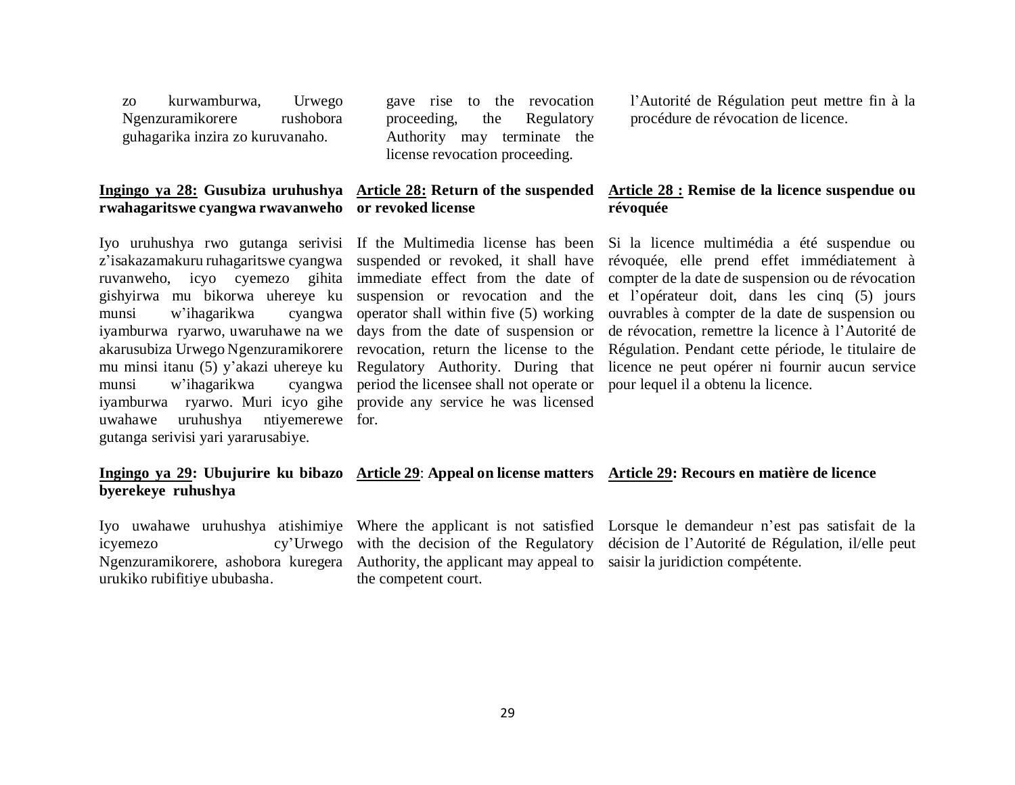zo kurwamburwa, Urwego Ngenzuramikorere rushobora guhagarika inzira zo kuruvanaho.

#### **Ingingo ya 28: Gusubiza uruhushya Article 28: Return of the suspended rwahagaritswe cyangwa rwavanweho or revoked license**

z'isakazamakuru ruhagaritswe cyangwa suspended or revoked, it shall have ruvanweho, icyo cyemezo gihita immediate effect from the date of gishyirwa mu bikorwa uhereye ku suspension or revocation and the munsi w'ihagarikwa iyamburwa ryarwo, uwaruhawe na we days from the date of suspension or akarusubiza Urwego Ngenzuramikorere revocation, return the license to the mu minsi itanu (5) y'akazi uhereye ku Regulatory Authority. During that munsi w'ihagarikwa iyamburwa ryarwo. Muri icyo gihe provide any service he was licensed uwahawe uruhushya ntiyemerewe for. gutanga serivisi yari yararusabiye.

gave rise to the revocation proceeding, the Regulatory Authority may terminate the license revocation proceeding.

## **révoquée**

Iyo uruhushya rwo gutanga serivisi If the Multimedia license has been cyangwa operator shall within five  $(5)$  working period the licensee shall not operate or l'Autorité de Régulation peut mettre fin à la procédure de révocation de licence.

## **Article 28 : Remise de la licence suspendue ou**

Si la licence multimédia a été suspendue ou révoquée, elle prend effet immédiatement à compter de la date de suspension ou de révocation et l'opérateur doit, dans les cinq (5) jours ouvrables à compter de la date de suspension ou de révocation, remettre la licence à l'Autorité de Régulation. Pendant cette période, le titulaire de licence ne peut opérer ni fournir aucun service pour lequel il a obtenu la licence.

### **Ingingo ya 29: Ubujurire ku bibazo Article 29**: **Appeal on license matters Article 29: Recours en matière de licence byerekeye ruhushya**

urukiko rubifitiye ububasha.

Ngenzuramikorere, ashobora kuregera Authority, the applicant may appeal to saisir la juridiction compétente.the competent court.

Iyo uwahawe uruhushya atishimiye Where the applicant is not satisfied Lorsque le demandeur n'est pas satisfait de la icyemezo cy'Urwego with the decision of the Regulatory décision de l'Autorité de Régulation, il/elle peut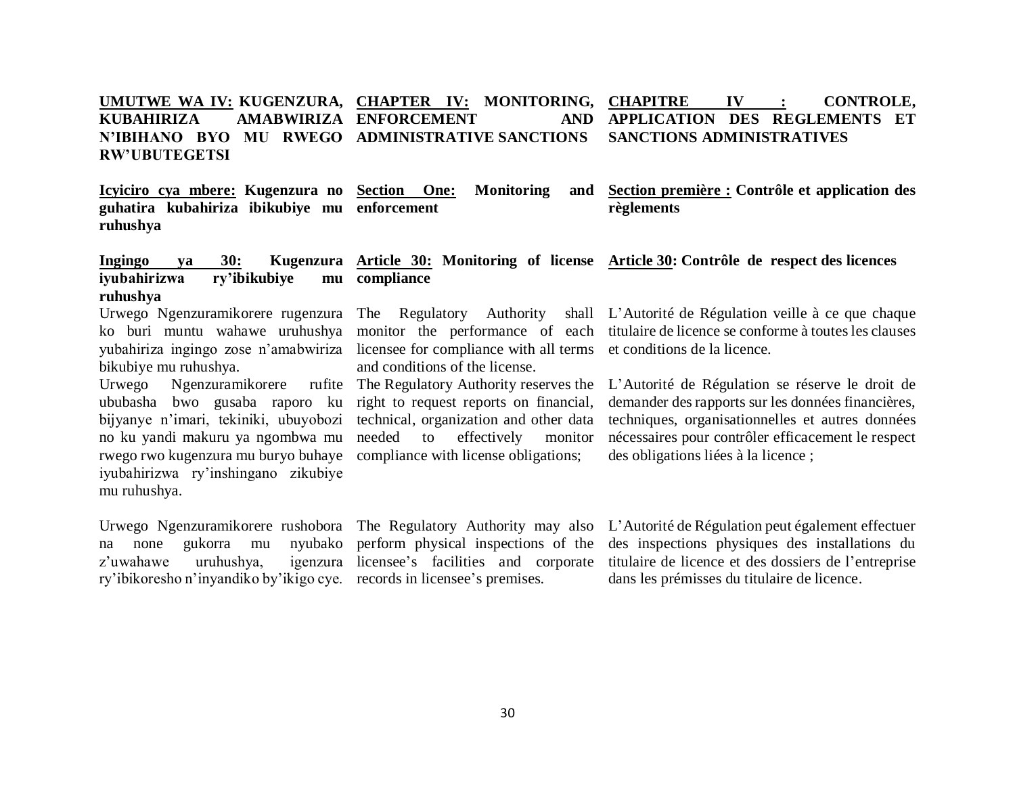#### **UMUTWE WA IV: KUGENZURA, CHAPTER IV: MONITORING, KUBAHIRIZA AMABWIRIZA ENFORCEMENT AND N'IBIHANO BYO MU RWEGO ADMINISTRATIVE SANCTIONS RW'UBUTEGETSI** IV : **CONTROLE, APPLICATION DES REGLEMENTS ET SANCTIONS ADMINISTRATIVES**

**Icyiciro cya mbere: Kugenzura no Section One: Monitoring and guhatira kubahiriza ibikubiye mu enforcement ruhushya Section première : Contrôle et application des règlements**

#### iyubahirizwa ry'ibikubiye **ruhushya compliance**

yubahiriza ingingo zose n'amabwiriza licensee for compliance with all terms et conditions de la licence. bikubiye mu ruhushya.

Urwego Ngenzuramikorere ububasha bwo gusaba raporo ku right to request reports on financial, bijyanye n'imari, tekiniki, ubuyobozi technical, organization and other data no ku yandi makuru ya ngombwa mu needed to effectively monitor rwego rwo kugenzura mu buryo buhaye compliance with license obligations; iyubahirizwa ry'inshingano zikubiye mu ruhushya.

na none gukorra mu  $z'$ uwahawe uruhushya. ry'ibikoresho n'inyandiko by'ikigo cye. records in licensee's premises.

and conditions of the license.

**Ingingo ya 30: Kugenzura Article 30: Monitoring of license Article 30: Contrôle de respect des licences**

Urwego Ngenzuramikorere rugenzura The Regulatory Authority shall L'Autorité de Régulation veille à ce que chaque ko buri muntu wahawe uruhushya monitor the performance of each titulaire de licence se conforme à toutes les clauses

> The Regulatory Authority reserves the L'Autorité de Régulation se réserve le droit de demander des rapports sur les données financières, techniques, organisationnelles et autres données nécessaires pour contrôler efficacement le respect des obligations liées à la licence ;

nyubako perform physical inspections of the licensee's facilities and corporate

Urwego Ngenzuramikorere rushobora The Regulatory Authority may also L'Autorité de Régulation peut également effectuer des inspections physiques des installations du titulaire de licence et des dossiers de l'entreprise dans les prémisses du titulaire de licence.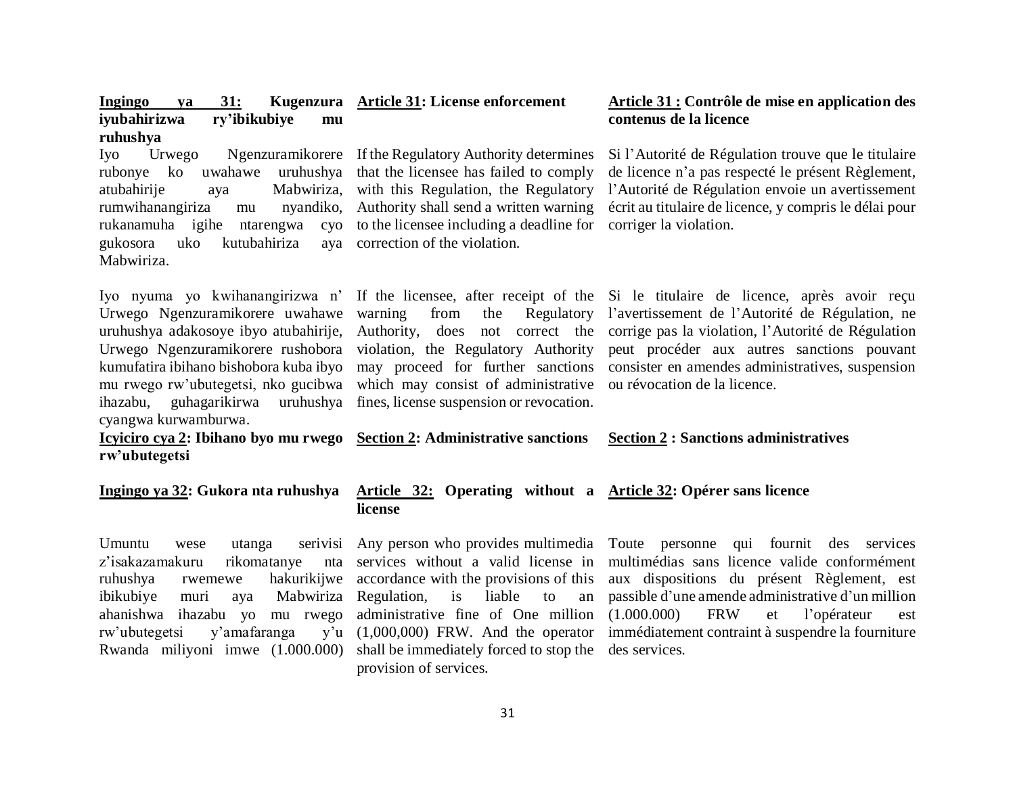| Ingingo<br>31:<br>ya<br>ry'ibikubiye<br>iyubahirizwa<br>mu                                                                                                                                                                                                                                          | Kugenzura Article 31: License enforcement                                                                                                                                                                                                                                                                        | Article 31 : Contrôle de mise en application des<br>contenus de la licence                                                                                                                                                                                                                                                    |
|-----------------------------------------------------------------------------------------------------------------------------------------------------------------------------------------------------------------------------------------------------------------------------------------------------|------------------------------------------------------------------------------------------------------------------------------------------------------------------------------------------------------------------------------------------------------------------------------------------------------------------|-------------------------------------------------------------------------------------------------------------------------------------------------------------------------------------------------------------------------------------------------------------------------------------------------------------------------------|
| ruhushya<br>Urwego<br>Iyo<br>uruhushya<br>ko<br>uwahawe<br>rubonye<br>Mabwiriza,<br>atubahirije<br>aya<br>rumwihanangiriza<br>nyandiko,<br>mu<br>rukanamuha igihe<br>ntarengwa<br>cyo<br>gukosora<br>uko<br>kutubahiriza<br>aya<br>Mabwiriza.                                                       | Ngenzuramikorere If the Regulatory Authority determines<br>that the licensee has failed to comply<br>with this Regulation, the Regulatory<br>Authority shall send a written warning<br>to the licensee including a deadline for<br>correction of the violation.                                                  | Si l'Autorité de Régulation trouve que le titulaire<br>de licence n'a pas respecté le présent Règlement,<br>l'Autorité de Régulation envoie un avertissement<br>écrit au titulaire de licence, y compris le délai pour<br>corriger la violation.                                                                              |
| Iyo nyuma yo kwihanangirizwa n'<br>Urwego Ngenzuramikorere uwahawe<br>uruhushya adakosoye ibyo atubahirije,<br>Urwego Ngenzuramikorere rushobora<br>kumufatira ibihano bishobora kuba ibyo<br>mu rwego rw'ubutegetsi, nko gucibwa<br>guhagarikirwa<br>ihazabu,<br>uruhushya<br>cyangwa kurwamburwa. | warning<br>from<br>the<br>Regulatory<br>Authority, does not correct the<br>violation, the Regulatory Authority<br>may proceed for further sanctions<br>which may consist of administrative<br>fines, license suspension or revocation.                                                                           | If the licensee, after receipt of the Si le titulaire de licence, après avoir reçu<br>l'avertissement de l'Autorité de Régulation, ne<br>corrige pas la violation, l'Autorité de Régulation<br>peut procéder aux autres sanctions pouvant<br>consister en amendes administratives, suspension<br>ou révocation de la licence. |
| <u>Icyiciro cya 2</u> : Ibihano byo mu rwego<br>rw'ubutegetsi                                                                                                                                                                                                                                       | <b>Section 2: Administrative sanctions</b>                                                                                                                                                                                                                                                                       | <b>Section 2 : Sanctions administratives</b>                                                                                                                                                                                                                                                                                  |
| Ingingo ya 32: Gukora nta ruhushya                                                                                                                                                                                                                                                                  | Article 32: Operating without a Article 32: Opérer sans licence<br>license                                                                                                                                                                                                                                       |                                                                                                                                                                                                                                                                                                                               |
| Umuntu<br>serivisi<br>utanga<br>wese<br>z'isakazamakuru<br>rikomatanye<br>nta<br>hakurikijwe<br>ruhushya<br>rwemewe<br>ibikubiye<br>Mabwiriza<br>muri<br>aya<br>ahanishwa ihazabu yo<br>mu rwego<br>y'amafaranga<br>rw'ubutegetsi<br>v'u<br>Rwanda miliyoni imwe (1.000.000)                        | Any person who provides multimedia<br>services without a valid license in<br>accordance with the provisions of this<br>Regulation,<br>is<br>liable<br>to<br>an<br>administrative fine of One million<br>$(1,000,000)$ FRW. And the operator<br>shall be immediately forced to stop the<br>provision of services. | Toute personne<br>qui fournit des services<br>multimédias sans licence valide conformément<br>aux dispositions du présent Règlement, est<br>passible d'une amende administrative d'un million<br>(1.000.000)<br><b>FRW</b><br>et<br>l'opérateur<br>est<br>immédiatement contraint à suspendre la fourniture<br>des services.  |

## 31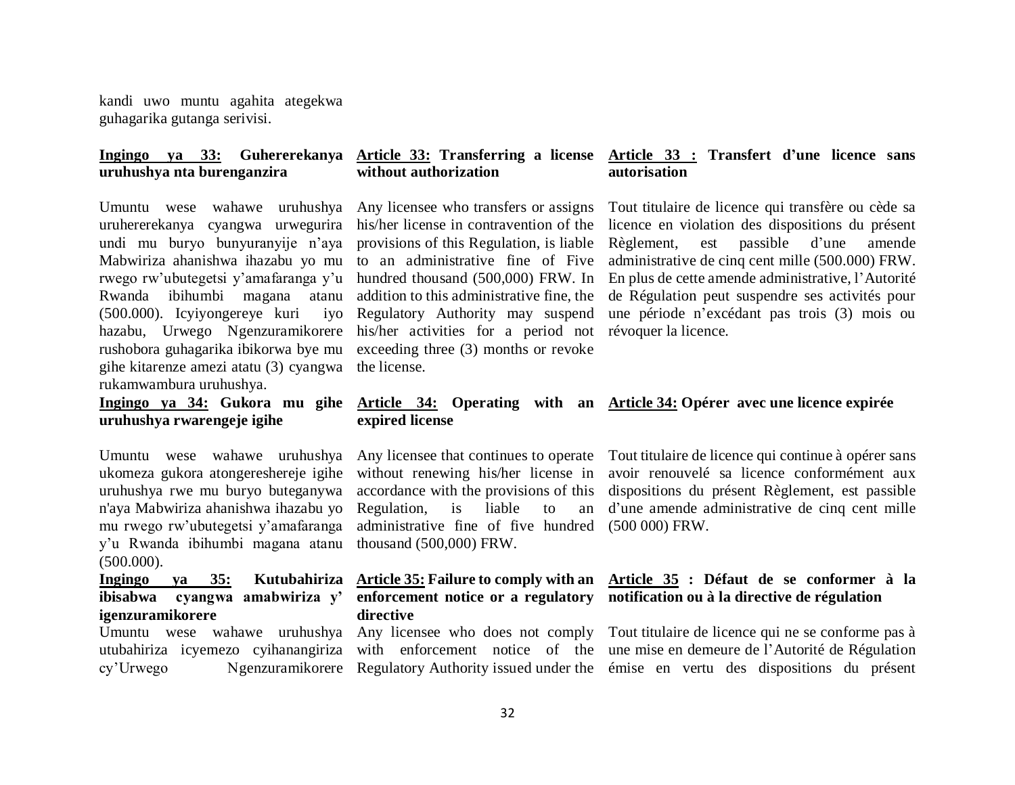kandi uwo muntu agahita ategekwa guhagarika gutanga serivisi.

## **uruhushya nta burenganzira**

Umuntu wese wahawe uruhushya Any licensee who transfers or assigns uruhererekanya cyangwa urwegurira undi mu buryo bunyuranyije n'aya Mabwiriza ahanishwa ihazabu yo mu to an administrative fine of Five rwego rw'ubutegetsi y'amafaranga y'u hundred thousand (500,000) FRW. In Rwanda ibihumbi magana atanu  $(500.000)$ . Icyiyongereye kuri hazabu, Urwego Ngenzuramikorere his/her activities for a period not rushobora guhagarika ibikorwa bye mu gihe kitarenze amezi atatu (3) cyangwa the license. rukamwambura uruhushya.

**uruhushya rwarengeje igihe**

ukomeza gukora atongereshereje igihe uruhushya rwe mu buryo buteganywa n'aya Mabwiriza ahanishwa ihazabu yo mu rwego rw'ubutegetsi y'amafaranga y'u Rwanda ibihumbi magana atanu thousand (500,000) FRW. (500.000).

### **Ingingo ya 35: Kutubahiriza ibisabwa cyangwa amabwiriza y' igenzuramikorere**

#### **Ingingo ya 33: Guhererekanya Article 33: Transferring a license without authorization Article 33 : Transfert d'une licence sans autorisation**

his/her license in contravention of the provisions of this Regulation, is liable addition to this administrative fine, the iyo Regulatory Authority may suspend exceeding three (3) months or revoke

Tout titulaire de licence qui transfère ou cède sa licence en violation des dispositions du présent Règlement, est passible d'une amende administrative de cinq cent mille (500.000) FRW. En plus de cette amende administrative, l'Autorité de Régulation peut suspendre ses activités pour une période n'excédant pas trois (3) mois ou révoquer la licence.

#### **Ingingo ya 34: Gukora mu gihe Article 34: Operating with an Article 34: Opérer avec une licence expirée expired license**

without renewing his/her license in accordance with the provisions of this Regulation, is liable to an administrative fine of five hundred (500 000) FRW.

# **directive**

Umuntu wese wahawe uruhushya Any licensee that continues to operate Tout titulaire de licence qui continue à opérer sans avoir renouvelé sa licence conformément aux dispositions du présent Règlement, est passible d'une amende administrative de cinq cent mille

## **Article 35: Failure to comply with an Article 35 : Défaut de se conformer à la enforcement notice or a regulatory notification ou à la directive de régulation**

Umuntu wese wahawe uruhushya Any licensee who does not comply Tout titulaire de licence qui ne se conforme pas à utubahiriza icyemezo cyihanangiriza with enforcement notice of the une mise en demeure de l'Autorité de Régulation cy'Urwego Ngenzuramikorere Regulatory Authority issued under the émise en vertu des dispositions du présent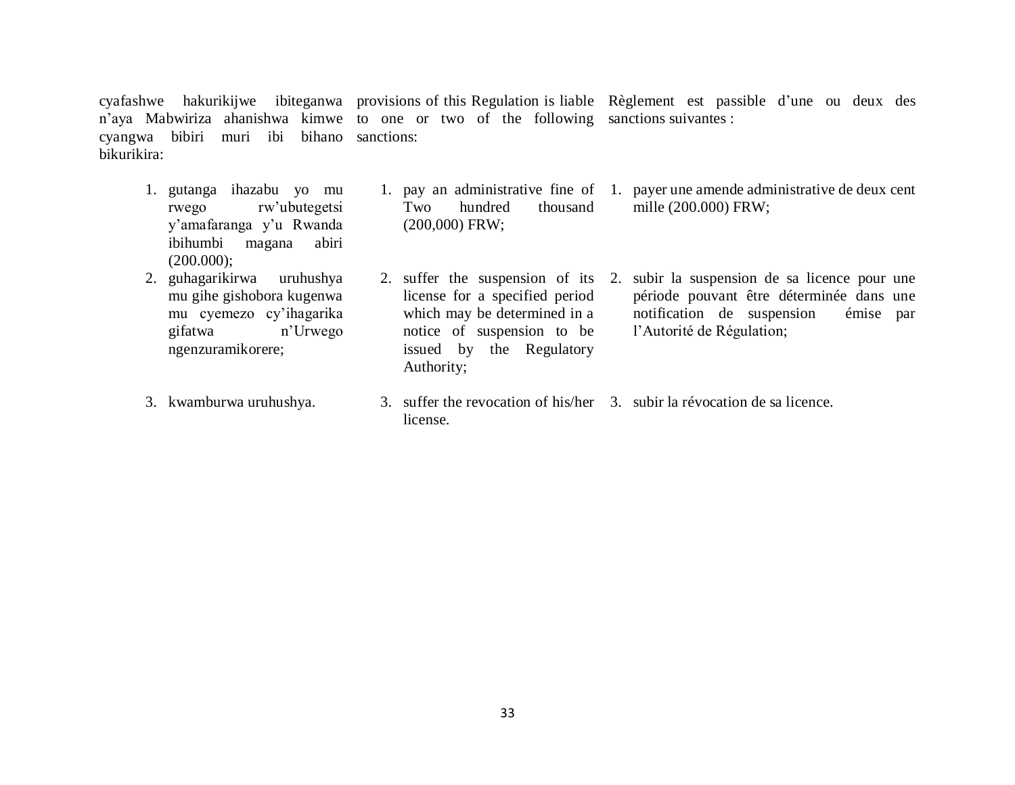cyafashwe hakurikijwe ibiteganwa provisions of this Regulation is liable Règlement est passible d'une ou deux des n'aya Mabwiriza ahanishwa kimwe to one or two of the following sanctions suivantes : cyangwa bibiri muri ibi bihano sanctions: bikurikira:

- 1. gutanga ihazabu yo mu rwego rw'ubutegetsi y'amafaranga y'u Rwanda ibihumbi magana abiri (200.000);
- 2. guhagarikirwa uruhushya mu gihe gishobora kugenwa mu cyemezo cy'ihagarika gifatwa n'Urwego ngenzuramikorere;
- 3. kwamburwa uruhushya.
- 2. suffer the suspension of its license for a specified period which may be determined in a notice of suspension to be issued by the Regulatory Authority;

(200,000) FRW;

- 1. pay an administrative fine of 1. payer une amende administrative de deux cent Two hundred thousand mille (200.000) FRW;
	- 2. subir la suspension de sa licence pour une période pouvant être déterminée dans une notification de suspension émise par l'Autorité de Régulation;
- 3. suffer the revocation of his/her 3. subir la révocation de sa licence.license.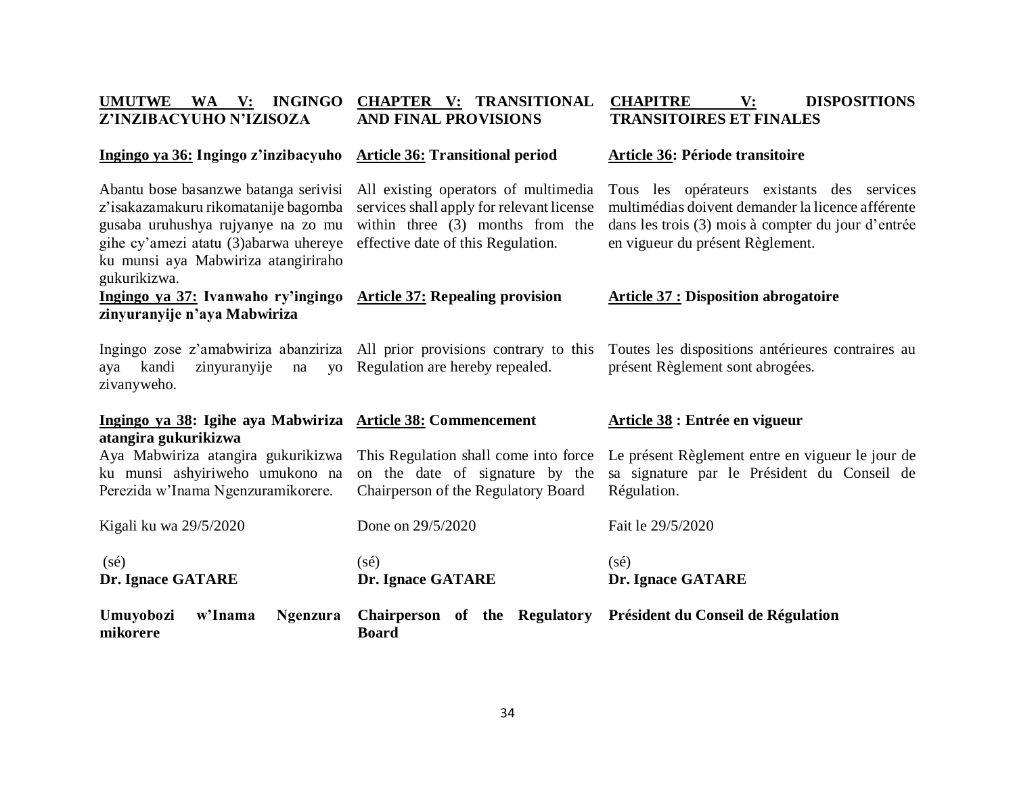| Z'INZIBACYUHO N'IZISOZA                                                                                                                                                                                              | <b>AND FINAL PROVISIONS</b>                                                                                                                                   | <b>TRANSITOIRES ET FINALES</b>                                                                                                                                                            |
|----------------------------------------------------------------------------------------------------------------------------------------------------------------------------------------------------------------------|---------------------------------------------------------------------------------------------------------------------------------------------------------------|-------------------------------------------------------------------------------------------------------------------------------------------------------------------------------------------|
| Ingingo ya 36: Ingingo z'inzibacyuho                                                                                                                                                                                 | <b>Article 36: Transitional period</b>                                                                                                                        | Article 36: Période transitoire                                                                                                                                                           |
| Abantu bose basanzwe batanga serivisi<br>z'isakazamakuru rikomatanije bagomba<br>gusaba uruhushya rujyanye na zo mu<br>gihe cy'amezi atatu (3) abarwa uhereye<br>ku munsi aya Mabwiriza atangiriraho<br>gukurikizwa. | All existing operators of multimedia<br>services shall apply for relevant license<br>within three $(3)$ months from the<br>effective date of this Regulation. | Tous les opérateurs existants des services<br>multimédias doivent demander la licence afférente<br>dans les trois (3) mois à compter du jour d'entrée<br>en vigueur du présent Règlement. |
| <u>Ingingo ya 37:</u> Ivanwaho ry'ingingo<br>zinyuranyije n'aya Mabwiriza                                                                                                                                            | <b>Article 37: Repealing provision</b>                                                                                                                        | <b>Article 37 : Disposition abrogatoire</b>                                                                                                                                               |
| Ingingo zose z'amabwiriza abanziriza All prior provisions contrary to this<br>zinyuranyije<br>kandi<br>na<br><b>VO</b><br>aya<br>zivanyweho.                                                                         | Regulation are hereby repealed.                                                                                                                               | Toutes les dispositions antérieures contraires au<br>présent Règlement sont abrogées.                                                                                                     |
| Ingingo ya 38: Igihe aya Mabwiriza Article 38: Commencement<br>atangira gukurikizwa                                                                                                                                  |                                                                                                                                                               | Article 38 : Entrée en vigueur                                                                                                                                                            |
| Aya Mabwiriza atangira gukurikizwa<br>ku munsi ashyiriweho umukono na<br>Perezida w'Inama Ngenzuramikorere.                                                                                                          | This Regulation shall come into force<br>on the date of signature by the<br>Chairperson of the Regulatory Board                                               | Le présent Règlement entre en vigueur le jour de<br>sa signature par le Président du Conseil de<br>Régulation.                                                                            |
| Kigali ku wa 29/5/2020                                                                                                                                                                                               | Done on 29/5/2020                                                                                                                                             | Fait le 29/5/2020                                                                                                                                                                         |
| $(s\acute{e})$<br>Dr. Ignace GATARE                                                                                                                                                                                  | $(s\acute{e})$<br>Dr. Ignace GATARE                                                                                                                           | $(s\acute{e})$<br>Dr. Ignace GATARE                                                                                                                                                       |
| Umuyobozi<br>w'Inama<br><b>Ngenzura</b><br>mikorere                                                                                                                                                                  | Chairperson of the Regulatory<br><b>Board</b>                                                                                                                 | Président du Conseil de Régulation                                                                                                                                                        |

**UMUTWE WA V: INGINGO CHAPTER V: TRANSITIONAL CHAPITRE V: DISPOSITIONS**